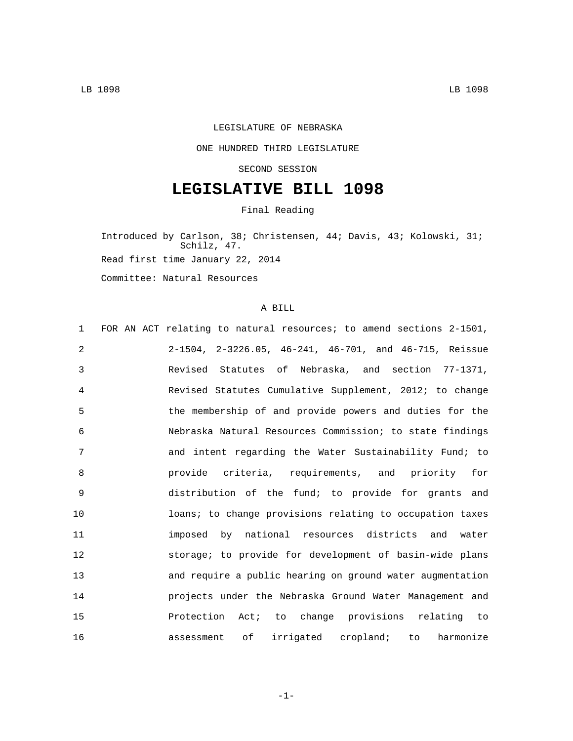## LEGISLATURE OF NEBRASKA

## ONE HUNDRED THIRD LEGISLATURE

SECOND SESSION

## **LEGISLATIVE BILL 1098**

Final Reading

Introduced by Carlson, 38; Christensen, 44; Davis, 43; Kolowski, 31; Schilz, 47. Read first time January 22, 2014 Committee: Natural Resources

## A BILL

| $\mathbf{1}$ | FOR AN ACT relating to natural resources; to amend sections 2-1501, |
|--------------|---------------------------------------------------------------------|
| 2            | 2-1504, 2-3226.05, 46-241, 46-701, and 46-715, Reissue              |
| 3            | Revised Statutes of Nebraska, and section 77-1371,                  |
| 4            | Revised Statutes Cumulative Supplement, 2012; to change             |
| 5            | the membership of and provide powers and duties for the             |
| 6            | Nebraska Natural Resources Commission; to state findings            |
| 7            | and intent regarding the Water Sustainability Fund; to              |
| 8            | provide criteria, requirements, and priority for                    |
| 9            | distribution of the fund; to provide for grants and                 |
| 10           | loans; to change provisions relating to occupation taxes            |
| 11           | imposed by national resources districts and water                   |
| 12           | storage; to provide for development of basin-wide plans             |
| 13           | and require a public hearing on ground water augmentation           |
| 14           | projects under the Nebraska Ground Water Management and             |
| 15           | Protection Act; to change provisions relating to                    |
| 16           | assessment of<br>irrigated cropland; to harmonize                   |

-1-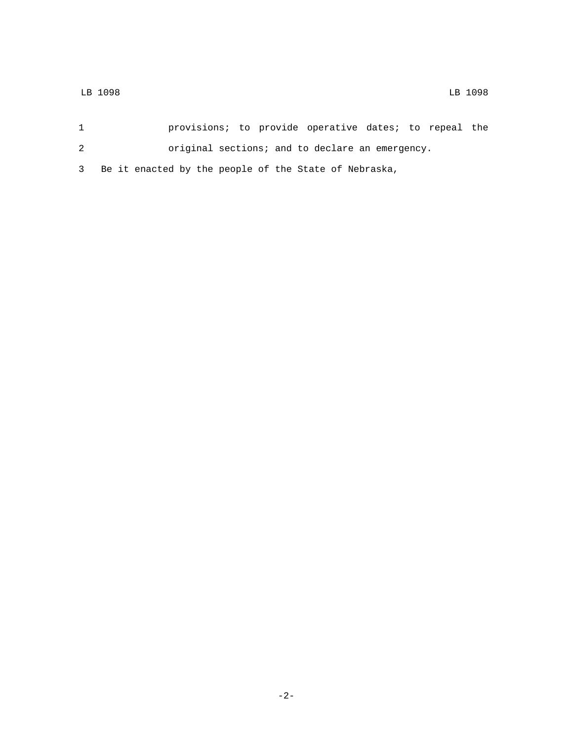| provisions; to provide operative dates; to repeal the   |
|---------------------------------------------------------|
| original sections; and to declare an emergency.         |
| 3 Be it enacted by the people of the State of Nebraska, |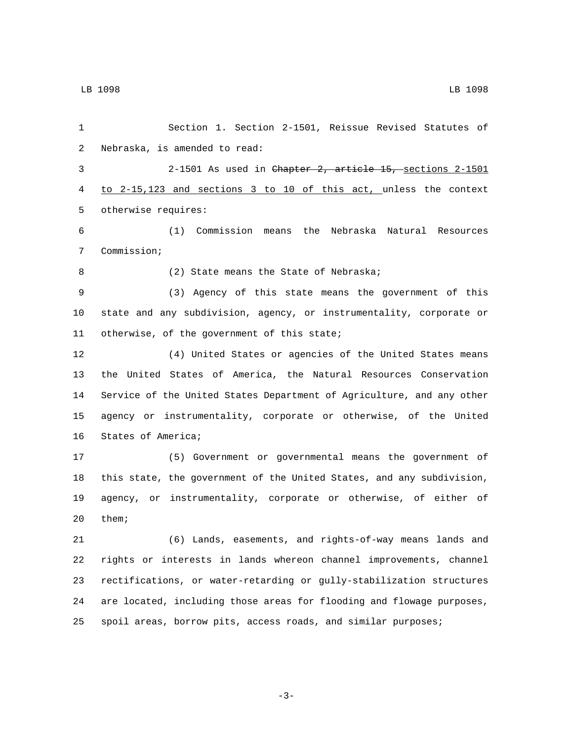Section 1. Section 2-1501, Reissue Revised Statutes of 2 Nebraska, is amended to read: 2-1501 As used in Chapter 2, article 15, sections 2-1501 to 2-15,123 and sections 3 to 10 of this act, unless the context 5 otherwise requires: (1) Commission means the Nebraska Natural Resources 7 Commission; 8 (2) State means the State of Nebraska; 11 otherwise, of the government of this state; (4) United States or agencies of the United States means 20 them; (6) Lands, easements, and rights-of-way means lands and rights or interests in lands whereon channel improvements, channel rectifications, or water-retarding or gully-stabilization structures are located, including those areas for flooding and flowage purposes,

-3-

- (3) Agency of this state means the government of this state and any subdivision, agency, or instrumentality, corporate or
- the United States of America, the Natural Resources Conservation Service of the United States Department of Agriculture, and any other agency or instrumentality, corporate or otherwise, of the United 16 States of America;
- (5) Government or governmental means the government of this state, the government of the United States, and any subdivision, agency, or instrumentality, corporate or otherwise, of either of
- spoil areas, borrow pits, access roads, and similar purposes;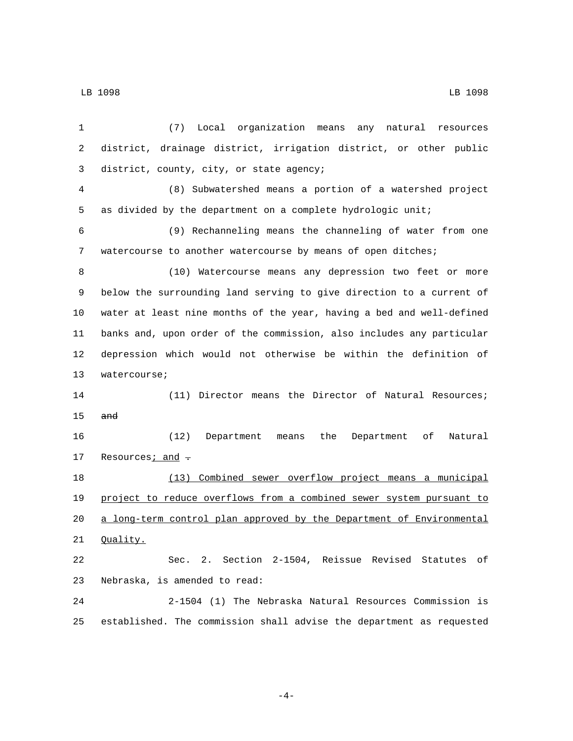(7) Local organization means any natural resources district, drainage district, irrigation district, or other public 3 district, county, city, or state agency; (8) Subwatershed means a portion of a watershed project as divided by the department on a complete hydrologic unit; (9) Rechanneling means the channeling of water from one watercourse to another watercourse by means of open ditches; (10) Watercourse means any depression two feet or more below the surrounding land serving to give direction to a current of water at least nine months of the year, having a bed and well-defined banks and, upon order of the commission, also includes any particular depression which would not otherwise be within the definition of 13 watercourse; (11) Director means the Director of Natural Resources; and (12) Department means the Department of Natural 17 Resources<sub>i</sub> and - (13) Combined sewer overflow project means a municipal project to reduce overflows from a combined sewer system pursuant to a long-term control plan approved by the Department of Environmental 21 Quality. Sec. 2. Section 2-1504, Reissue Revised Statutes of 23 Nebraska, is amended to read: 2-1504 (1) The Nebraska Natural Resources Commission is established. The commission shall advise the department as requested

-4-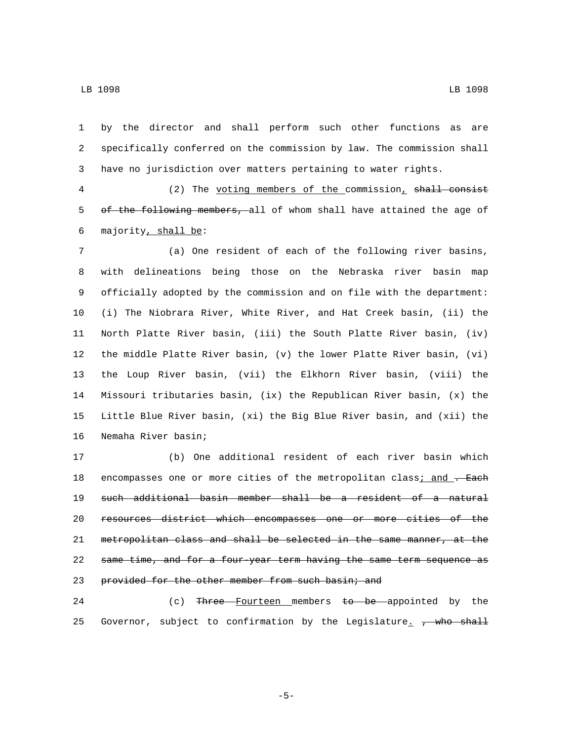by the director and shall perform such other functions as are specifically conferred on the commission by law. The commission shall have no jurisdiction over matters pertaining to water rights.

 (2) The voting members of the commission, shall consist 5 of the following members, all of whom shall have attained the age of 6 majority, shall be:

 (a) One resident of each of the following river basins, with delineations being those on the Nebraska river basin map officially adopted by the commission and on file with the department: (i) The Niobrara River, White River, and Hat Creek basin, (ii) the North Platte River basin, (iii) the South Platte River basin, (iv) the middle Platte River basin, (v) the lower Platte River basin, (vi) the Loup River basin, (vii) the Elkhorn River basin, (viii) the Missouri tributaries basin, (ix) the Republican River basin, (x) the Little Blue River basin, (xi) the Big Blue River basin, and (xii) the 16 Nemaha River basin;

 (b) One additional resident of each river basin which 18 encompasses one or more cities of the metropolitan class; and . Each such additional basin member shall be a resident of a natural resources district which encompasses one or more cities of the metropolitan class and shall be selected in the same manner, at the 22 same time, and for a four-year term having the same term sequence as 23 provided for the other member from such basin; and

24 (c) Three Fourteen members to be appointed by the 25 Governor, subject to confirmation by the Legislature.  $\frac{1}{100}$  , who shall

-5-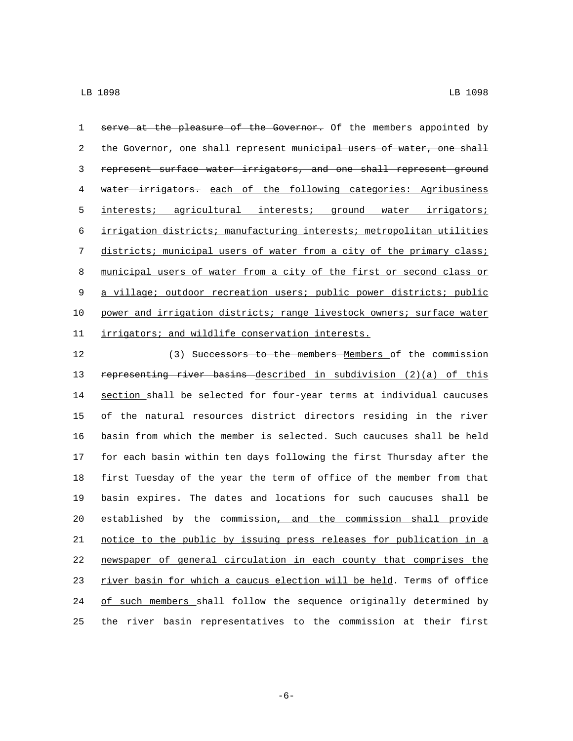1 serve at the pleasure of the Governor. Of the members appointed by 2 the Governor, one shall represent municipal users of water, one shall represent surface water irrigators, and one shall represent ground water irrigators. each of the following categories: Agribusiness 5 interests; agricultural interests; ground water irrigators; irrigation districts; manufacturing interests; metropolitan utilities districts; municipal users of water from a city of the primary class; municipal users of water from a city of the first or second class or a village; outdoor recreation users; public power districts; public power and irrigation districts; range livestock owners; surface water 11 irrigators; and wildlife conservation interests.

12 (3) Successors to the members Members of the commission 13 representing river basins described in subdivision (2)(a) of this section shall be selected for four-year terms at individual caucuses of the natural resources district directors residing in the river basin from which the member is selected. Such caucuses shall be held for each basin within ten days following the first Thursday after the first Tuesday of the year the term of office of the member from that basin expires. The dates and locations for such caucuses shall be established by the commission, and the commission shall provide notice to the public by issuing press releases for publication in a newspaper of general circulation in each county that comprises the 23 river basin for which a caucus election will be held. Terms of office 24 of such members shall follow the sequence originally determined by the river basin representatives to the commission at their first

-6-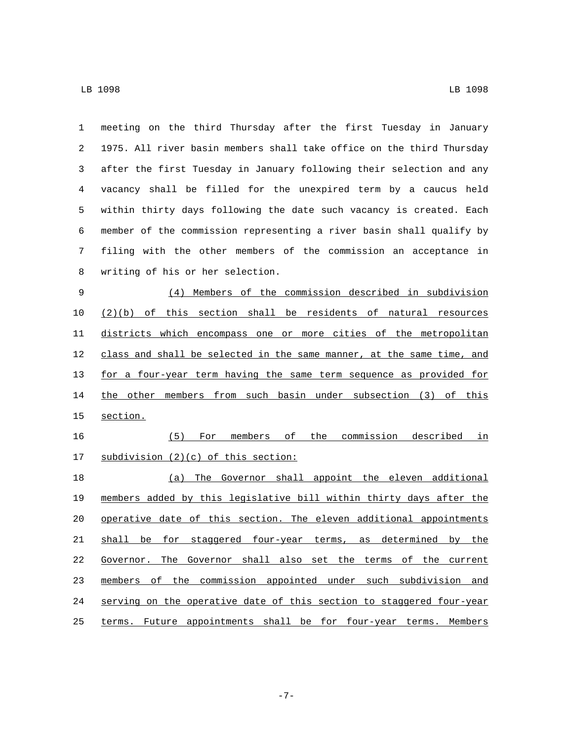| 1  | meeting on the third Thursday after the first Tuesday in January      |
|----|-----------------------------------------------------------------------|
| 2  | 1975. All river basin members shall take office on the third Thursday |
| 3  | after the first Tuesday in January following their selection and any  |
| 4  | vacancy shall be filled for the unexpired term by a caucus held       |
| 5  | within thirty days following the date such vacancy is created. Each   |
| 6  | member of the commission representing a river basin shall qualify by  |
| 7  | filing with the other members of the commission an acceptance in      |
| 8  | writing of his or her selection.                                      |
| 9  | (4) Members of the commission described in subdivision                |
| 10 | $(2)(b)$ of this section shall be residents of natural resources      |
| 11 | districts which encompass one or more cities of the metropolitan      |
| 12 | class and shall be selected in the same manner, at the same time, and |
| 13 | for a four-year term having the same term sequence as provided for    |
| 14 | the other members from such basin under subsection (3) of this        |
| 15 | section.                                                              |
| 16 | (5) For members of the commission described in                        |
| 17 | subdivision (2)(c) of this section:                                   |
| 18 | (a) The Governor shall appoint the eleven additional                  |
| 19 | members added by this legislative bill within thirty days after the   |
| 20 | operative date of this section. The eleven additional appointments    |
| 21 | shall be for staggered four-year terms, as determined by the          |
| 22 | Governor. The Governor shall also set the terms of the current        |
| 23 | members of the commission appointed under such subdivision and        |
| 24 | serving on the operative date of this section to staggered four-year  |
| 25 | terms. Future appointments shall be for four-year terms. Members      |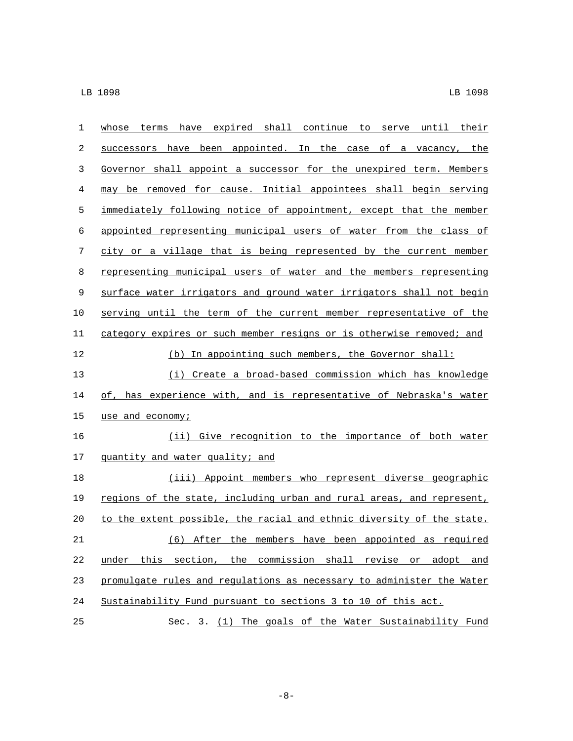| 1           | have expired shall continue to serve until their<br>whose terms       |
|-------------|-----------------------------------------------------------------------|
| 2           | successors have been appointed. In the case of a vacancy, the         |
| 3           | Governor shall appoint a successor for the unexpired term. Members    |
| 4           | may be removed for cause. Initial appointees shall begin serving      |
| 5           | immediately following notice of appointment, except that the member   |
| 6           | appointed representing municipal users of water from the class of     |
| 7           | city or a village that is being represented by the current member     |
| 8           | representing municipal users of water and the members representing    |
| $\mathsf 9$ | surface water irrigators and ground water irrigators shall not begin  |
| 10          | serving until the term of the current member representative of the    |
| 11          | category expires or such member resigns or is otherwise removed; and  |
| 12          | (b) In appointing such members, the Governor shall:                   |
| 13          | (i) Create a broad-based commission which has knowledge               |
| 14          | of, has experience with, and is representative of Nebraska's water    |
| 15          | use and economy;                                                      |
| 16          | (ii) Give recognition to the importance of both water                 |
| 17          | quantity and water quality; and                                       |
| 18          | (iii) Appoint members who represent diverse geographic                |
| 19          | regions of the state, including urban and rural areas, and represent, |
| 20          | to the extent possible, the racial and ethnic diversity of the state. |
| 21          | (6) After the members have been appointed as required                 |
| 22          | under this section, the commission shall revise or adopt and          |
| 23          | promulgate rules and regulations as necessary to administer the Water |
| 24          | Sustainability Fund pursuant to sections 3 to 10 of this act.         |
| 25          | Sec. 3. (1) The goals of the Water Sustainability Fund                |

-8-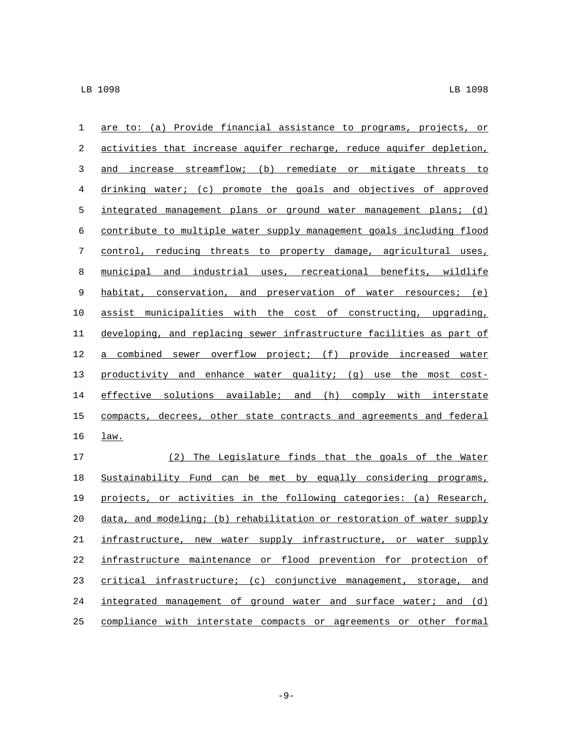| 1  | are to: (a) Provide financial assistance to programs, projects, or    |
|----|-----------------------------------------------------------------------|
| 2  | activities that increase aquifer recharge, reduce aquifer depletion,  |
| 3  | and increase streamflow; (b) remediate or mitigate threats to         |
| 4  | drinking water; (c) promote the goals and objectives of approved      |
| 5  | integrated management plans or ground water management plans; (d)     |
| 6  | contribute to multiple water supply management goals including flood  |
| 7  | control, reducing threats to property damage, agricultural uses,      |
| 8  | municipal and industrial uses, recreational benefits, wildlife        |
| 9  | habitat, conservation, and preservation of water resources; (e)       |
| 10 | assist municipalities with the cost of constructing, upgrading,       |
| 11 | developing, and replacing sewer infrastructure facilities as part of  |
| 12 | a combined sewer overflow project; (f) provide increased water        |
| 13 | productivity and enhance water quality; (g) use the most cost-        |
| 14 | effective solutions available; and (h) comply with interstate         |
| 15 | compacts, decrees, other state contracts and agreements and federal   |
| 16 | <u>law.</u>                                                           |
| 17 | (2) The Legislature finds that the goals of the Water                 |
| 18 | Sustainability Fund can be met by equally considering programs,       |
| 19 | projects, or activities in the following categories: (a) Research,    |
| 20 | data, and modeling; (b) rehabilitation or restoration of water supply |
| 21 | infrastructure, new water supply infrastructure, or water supply      |
| 22 | infrastructure maintenance or flood prevention for protection of      |
| 23 | critical infrastructure; (c) conjunctive management, storage, and     |
| 24 | integrated management of ground water and surface water; and (d)      |

compliance with interstate compacts or agreements or other formal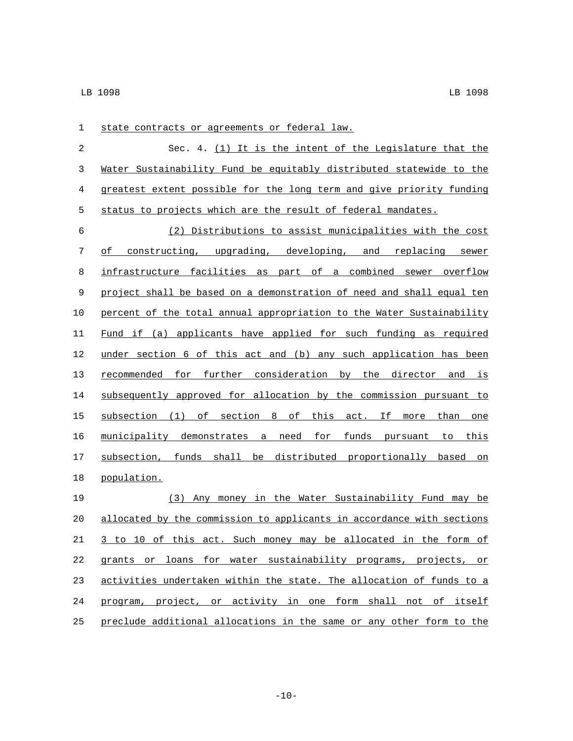| $\mathbf{1}$ | state contracts or agreements or federal law.                         |
|--------------|-----------------------------------------------------------------------|
| 2            | Sec. 4. (1) It is the intent of the Legislature that the              |
| 3            | Water Sustainability Fund be equitably distributed statewide to the   |
| 4            | greatest extent possible for the long term and give priority funding  |
| 5            | status to projects which are the result of federal mandates.          |
| 6            | (2) Distributions to assist municipalities with the cost              |
| 7            | of constructing, upgrading, developing, and replacing sewer           |
| 8            | infrastructure facilities as part of a combined sewer overflow        |
| 9            | project shall be based on a demonstration of need and shall equal ten |
| 10           | percent of the total annual appropriation to the Water Sustainability |
| 11           | Fund if (a) applicants have applied for such funding as required      |
| 12           | under section 6 of this act and (b) any such application has been     |
| 13           | recommended for further consideration by the director and is          |
| 14           | subsequently approved for allocation by the commission pursuant to    |
| 15           | subsection (1) of section 8 of this act. If more than one             |
| 16           | municipality demonstrates a need for funds pursuant to this           |
| 17           | subsection, funds shall be distributed proportionally based on        |
| 18           | population.                                                           |
| 19           | (3) Any money in the Water Sustainability Fund may be                 |
| 20           | allocated by the commission to applicants in accordance with sections |
| 21           | 3 to 10 of this act. Such money may be allocated in the form of       |
| 22           | grants or loans for water sustainability programs, projects, or       |
| 23           | activities undertaken within the state. The allocation of funds to a  |
| 24           | program, project, or activity in one form shall not of itself         |
| 25           | preclude additional allocations in the same or any other form to the  |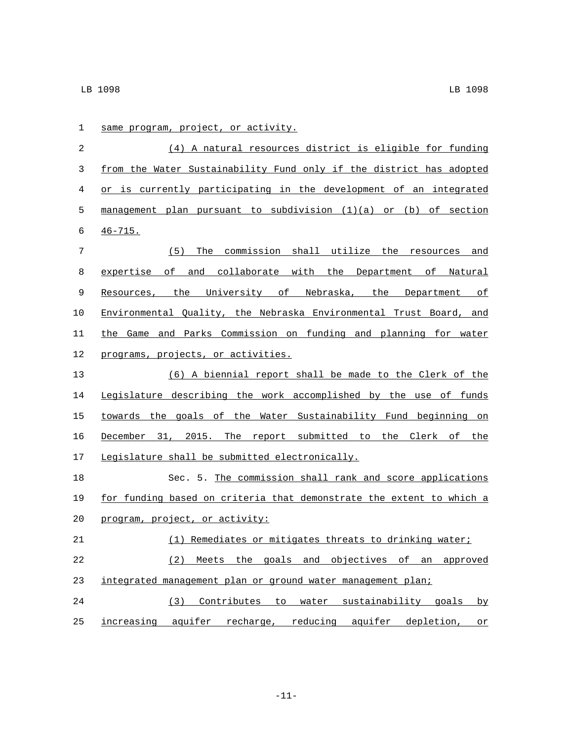| 1  | same program, project, or activity.                                  |
|----|----------------------------------------------------------------------|
| 2  | (4) A natural resources district is eligible for funding             |
| 3  | from the Water Sustainability Fund only if the district has adopted  |
| 4  | or is currently participating in the development of an integrated    |
| 5  | management plan pursuant to subdivision $(1)(a)$ or $(b)$ of section |
| 6  | $46 - 715$ .                                                         |
| 7  | (5) The commission shall utilize the resources and                   |
| 8  | expertise of and collaborate with the Department of Natural          |
| 9  | Resources, the University of Nebraska, the Department of             |
| 10 | Environmental Quality, the Nebraska Environmental Trust Board, and   |
| 11 | the Game and Parks Commission on funding and planning for water      |
| 12 | programs, projects, or activities.                                   |
| 13 | (6) A biennial report shall be made to the Clerk of the              |
| 14 | Legislature describing the work accomplished by the use of funds     |
| 15 | towards the goals of the Water Sustainability Fund beginning on      |
| 16 | December 31, 2015. The report submitted to the Clerk of the          |
| 17 | Legislature shall be submitted electronically.                       |
| 18 | Sec. 5. The commission shall rank and score applications             |
| 19 | for funding based on criteria that demonstrate the extent to which a |
| 20 | program, project, or activity:                                       |
| 21 | (1) Remediates or mitigates threats to drinking water;               |
| 22 | (2) Meets the goals and objectives of an approved                    |
| 23 | integrated management plan or ground water management plan;          |
| 24 | (3) Contributes to water sustainability goals by                     |
| 25 | increasing aquifer recharge, reducing aquifer depletion, or          |

-11-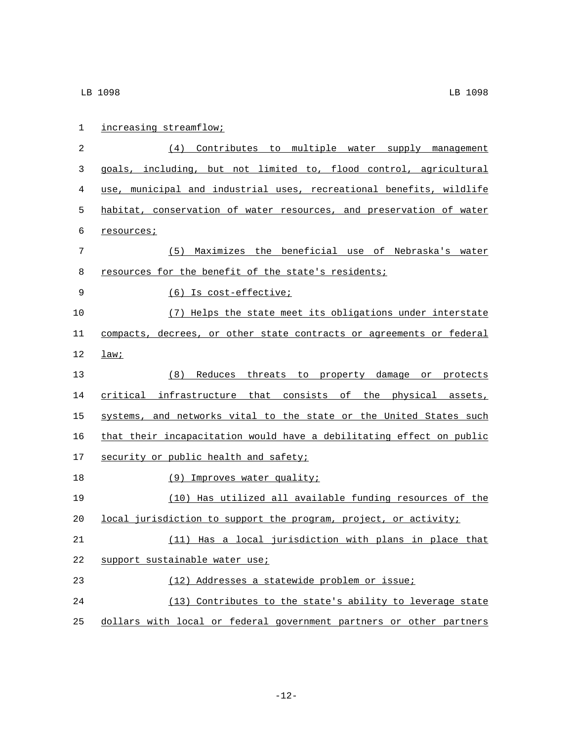|    | Increasing servatories                                               |
|----|----------------------------------------------------------------------|
| 2  | (4) Contributes to multiple water supply management                  |
| 3  | goals, including, but not limited to, flood control, agricultural    |
| 4  | use, municipal and industrial uses, recreational benefits, wildlife  |
| 5  | habitat, conservation of water resources, and preservation of water  |
| 6  | resources;                                                           |
| 7  | (5) Maximizes the beneficial use of Nebraska's water                 |
| 8  | resources for the benefit of the state's residents;                  |
| 9  | (6) Is cost-effective;                                               |
| 10 | (7) Helps the state meet its obligations under interstate            |
| 11 | compacts, decrees, or other state contracts or agreements or federal |
| 12 | <u>law;</u>                                                          |
| 13 | (8) Reduces threats to property damage or protects                   |
| 14 | critical infrastructure that consists of the physical assets,        |
| 15 | systems, and networks vital to the state or the United States such   |
| 16 | that their incapacitation would have a debilitating effect on public |
| 17 | security or public health and safety;                                |
| 18 | (9) Improves water quality;                                          |
| 19 | (10) Has utilized all available funding resources of the             |
| 20 | local jurisdiction to support the program, project, or activity;     |
| 21 | (11) Has a local jurisdiction with plans in place that               |
| 22 | support sustainable water use;                                       |
| 23 | (12) Addresses a statewide problem or issue;                         |
| 24 | (13) Contributes to the state's ability to leverage state            |
| 25 | dollars with local or federal government partners or other partners  |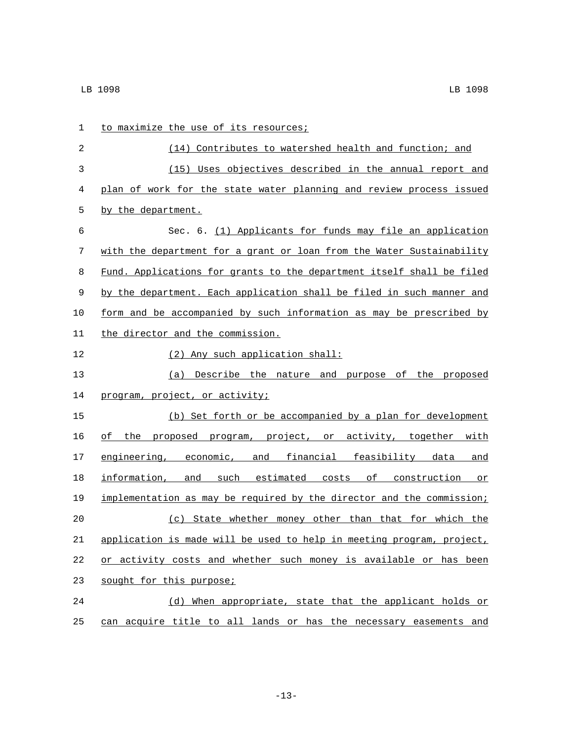| 1  | to maximize the use of its resources;                                 |
|----|-----------------------------------------------------------------------|
| 2  | (14) Contributes to watershed health and function; and                |
| 3  | (15) Uses objectives described in the annual report and               |
| 4  | plan of work for the state water planning and review process issued   |
| 5  | by the department.                                                    |
| 6  | Sec. 6. (1) Applicants for funds may file an application              |
| 7  | with the department for a grant or loan from the Water Sustainability |
| 8  | Fund. Applications for grants to the department itself shall be filed |
| 9  | by the department. Each application shall be filed in such manner and |
| 10 | form and be accompanied by such information as may be prescribed by   |
| 11 | the director and the commission.                                      |
| 12 | (2) Any such application shall:                                       |
| 13 | (a) Describe the nature and purpose of the proposed                   |
| 14 | program, project, or activity;                                        |
| 15 | (b) Set forth or be accompanied by a plan for development             |
| 16 | of the proposed program, project, or activity, together with          |
| 17 | engineering, economic, and financial feasibility data and             |
| 18 | information, and such estimated costs of construction or              |
| 19 | implementation as may be required by the director and the commission; |
| 20 | (c) State whether money other than that for which the                 |
| 21 | application is made will be used to help in meeting program, project, |
| 22 | or activity costs and whether such money is available or has been     |
| 23 | sought for this purpose;                                              |
| 24 | When appropriate, state that the applicant holds or<br>(d)            |
| 25 | can acquire title to all lands or has the necessary easements and     |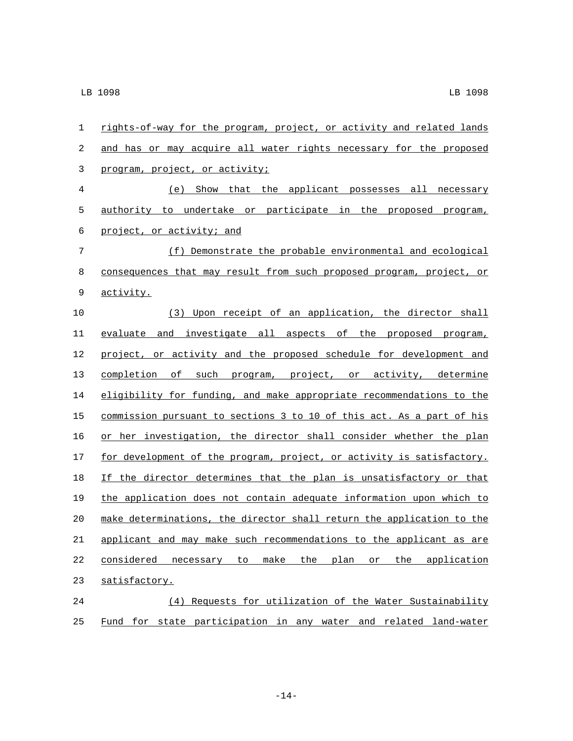| 1  | rights-of-way for the program, project, or activity and related lands |
|----|-----------------------------------------------------------------------|
| 2  | and has or may acquire all water rights necessary for the proposed    |
| 3  | program, project, or activity;                                        |
| 4  | (e) Show that the applicant possesses all necessary                   |
| 5  | authority to undertake or participate in the proposed program,        |
| 6  | project, or activity; and                                             |
| 7  | (f) Demonstrate the probable environmental and ecological             |
| 8  | consequences that may result from such proposed program, project, or  |
| 9  | <u>activity.</u>                                                      |
| 10 | (3) Upon receipt of an application, the director shall                |
| 11 | evaluate and investigate all aspects of the proposed program,         |
| 12 | project, or activity and the proposed schedule for development and    |
| 13 | completion of such program, project, or activity, determine           |
| 14 | eligibility for funding, and make appropriate recommendations to the  |
| 15 | commission pursuant to sections 3 to 10 of this act. As a part of his |
| 16 | or her investigation, the director shall consider whether the plan    |
| 17 | for development of the program, project, or activity is satisfactory. |
| 18 | If the director determines that the plan is unsatisfactory or that    |
| 19 | the application does not contain adequate information upon which to   |
| 20 | make determinations, the director shall return the application to the |
| 21 | applicant and may make such recommendations to the applicant as are   |
| 22 | considered necessary to make the plan or the application              |
| 23 | satisfactory.                                                         |
| 24 | (4) Requests for utilization of the Water Sustainability              |
| 25 | Fund for state participation in any water and related land-water      |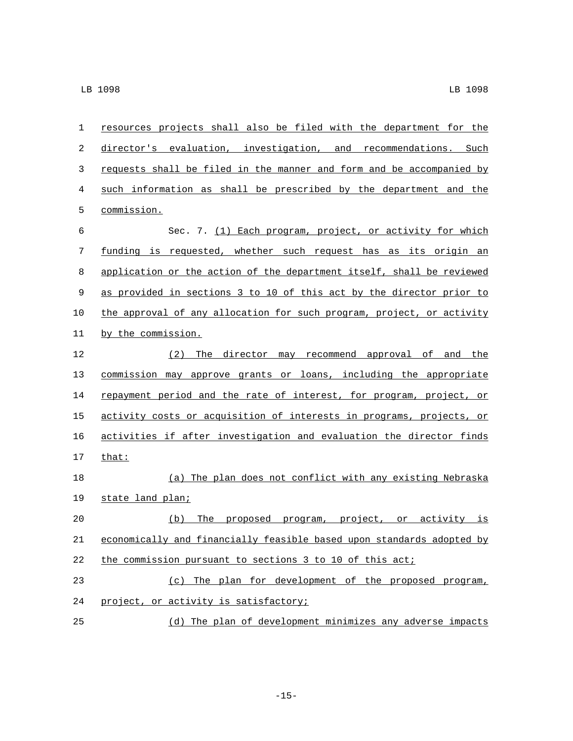| 1  | resources projects shall also be filed with the department for the    |
|----|-----------------------------------------------------------------------|
| 2  | director's evaluation, investigation, and recommendations. Such       |
| 3  | requests shall be filed in the manner and form and be accompanied by  |
| 4  | such information as shall be prescribed by the department and the     |
| 5  | commission.                                                           |
| 6  | Sec. 7. (1) Each program, project, or activity for which              |
| 7  | funding is requested, whether such request has as its origin an       |
| 8  | application or the action of the department itself, shall be reviewed |
| 9  | as provided in sections 3 to 10 of this act by the director prior to  |
| 10 | the approval of any allocation for such program, project, or activity |
| 11 | by the commission.                                                    |
| 12 | (2) The director may recommend approval of and the                    |
| 13 | commission may approve grants or loans, including the appropriate     |
| 14 | repayment period and the rate of interest, for program, project, or   |
| 15 | activity costs or acquisition of interests in programs, projects, or  |
| 16 | activities if after investigation and evaluation the director finds   |
| 17 | that:                                                                 |
| 18 | (a) The plan does not conflict with any existing Nebraska             |
| 19 | state land plan;                                                      |
| 20 | proposed program, project, or activity is<br>(b)<br>The               |
| 21 | economically and financially feasible based upon standards adopted by |
| 22 | the commission pursuant to sections 3 to 10 of this act;              |
| 23 | (c) The plan for development of the proposed program,                 |
| 24 | project, or activity is satisfactory;                                 |
| 25 | (d) The plan of development minimizes any adverse impacts             |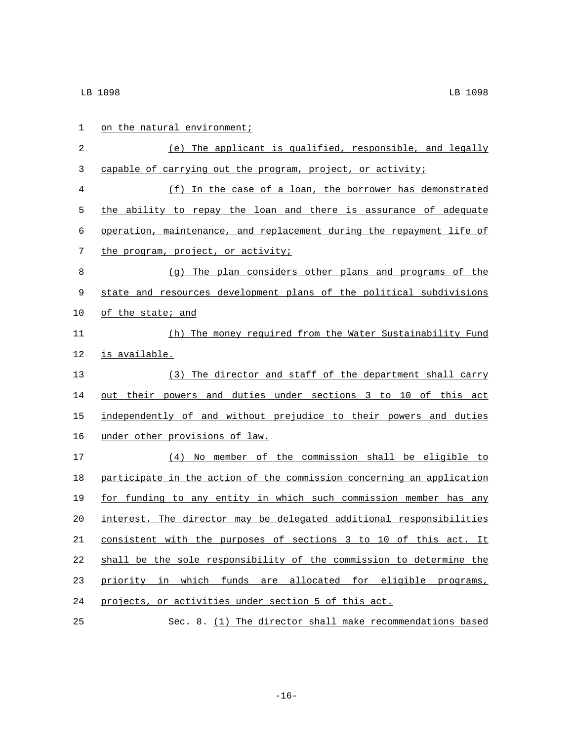| 1  | on the natural environment;                                           |
|----|-----------------------------------------------------------------------|
| 2  | (e) The applicant is qualified, responsible, and legally              |
| 3  | capable of carrying out the program, project, or activity;            |
| 4  | (f) In the case of a loan, the borrower has demonstrated              |
| 5  | the ability to repay the loan and there is assurance of adequate      |
| 6  | operation, maintenance, and replacement during the repayment life of  |
| 7  | the program, project, or activity;                                    |
| 8  | The plan considers other plans and programs of the<br>(q)             |
| 9  | state and resources development plans of the political subdivisions   |
| 10 | of the state; and                                                     |
| 11 | (h) The money required from the Water Sustainability Fund             |
| 12 | is available.                                                         |
| 13 | (3) The director and staff of the department shall carry              |
| 14 | out their powers and duties under sections 3 to 10 of this act        |
| 15 | independently of and without prejudice to their powers and duties     |
| 16 | under other provisions of law.                                        |
| 17 | No member of the commission shall be eligible to<br>(4)               |
| 18 | participate in the action of the commission concerning an application |
| 19 | for funding to any entity in which such commission member has any     |
| 20 | interest. The director may be delegated additional responsibilities   |
| 21 | consistent with the purposes of sections 3 to 10 of this act. It      |
| 22 | shall be the sole responsibility of the commission to determine the   |
| 23 | priority in which funds are allocated for eligible programs,          |
| 24 | projects, or activities under section 5 of this act.                  |
| 25 | Sec. 8. (1) The director shall make recommendations based             |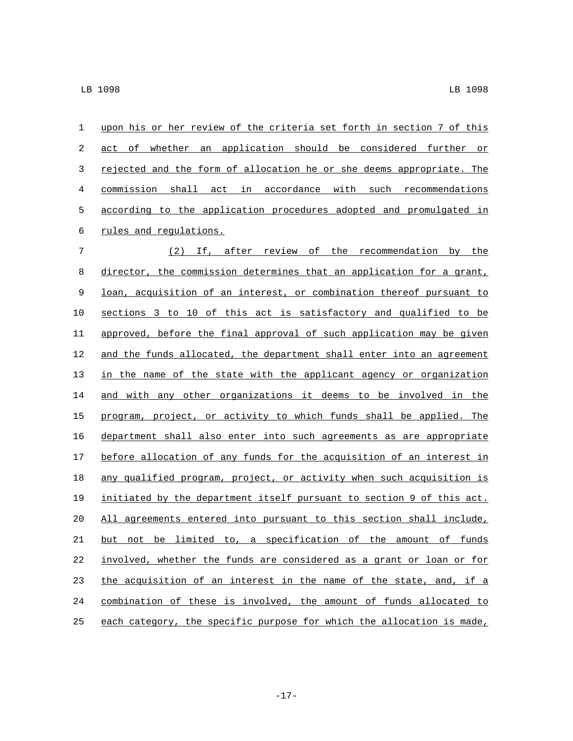| $\mathbf{1}$ | upon his or her review of the criteria set forth in section 7 of this |
|--------------|-----------------------------------------------------------------------|
| 2            | act of whether an application should be considered further or         |
| 3            | rejected and the form of allocation he or she deems appropriate. The  |
| 4            | commission shall act in accordance with such recommendations          |
| 5.           | according to the application procedures adopted and promulgated in    |
| 6            | rules and requlations.                                                |
|              |                                                                       |

 (2) If, after review of the recommendation by the director, the commission determines that an application for a grant, loan, acquisition of an interest, or combination thereof pursuant to sections 3 to 10 of this act is satisfactory and qualified to be approved, before the final approval of such application may be given 12 and the funds allocated, the department shall enter into an agreement in the name of the state with the applicant agency or organization and with any other organizations it deems to be involved in the program, project, or activity to which funds shall be applied. The department shall also enter into such agreements as are appropriate 17 before allocation of any funds for the acquisition of an interest in any qualified program, project, or activity when such acquisition is initiated by the department itself pursuant to section 9 of this act. All agreements entered into pursuant to this section shall include, but not be limited to, a specification of the amount of funds involved, whether the funds are considered as a grant or loan or for 23 the acquisition of an interest in the name of the state, and, if a combination of these is involved, the amount of funds allocated to each category, the specific purpose for which the allocation is made,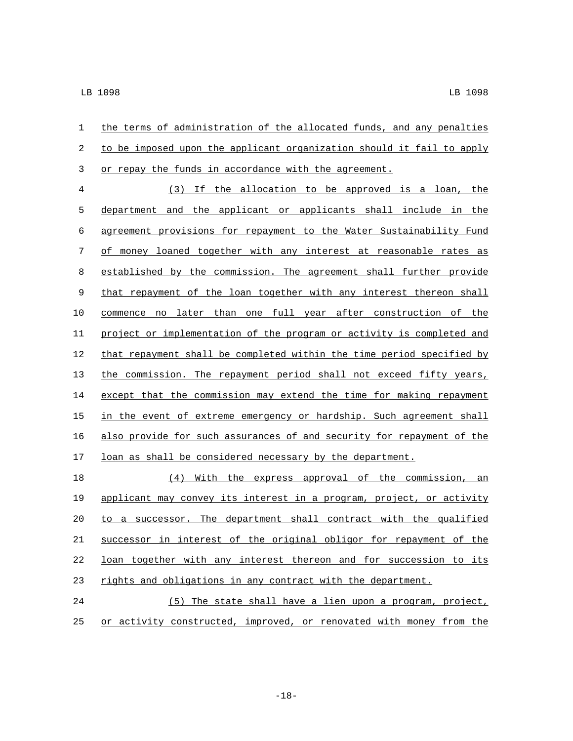| 1 the terms of administration of the allocated funds, and any penalties |
|-------------------------------------------------------------------------|
| 2 to be imposed upon the applicant organization should it fail to apply |
| 3 or repay the funds in accordance with the agreement.                  |

 (3) If the allocation to be approved is a loan, the department and the applicant or applicants shall include in the agreement provisions for repayment to the Water Sustainability Fund of money loaned together with any interest at reasonable rates as established by the commission. The agreement shall further provide 9 that repayment of the loan together with any interest thereon shall commence no later than one full year after construction of the project or implementation of the program or activity is completed and that repayment shall be completed within the time period specified by 13 the commission. The repayment period shall not exceed fifty years, except that the commission may extend the time for making repayment 15 in the event of extreme emergency or hardship. Such agreement shall also provide for such assurances of and security for repayment of the 17 loan as shall be considered necessary by the department.

 (4) With the express approval of the commission, an applicant may convey its interest in a program, project, or activity to a successor. The department shall contract with the qualified successor in interest of the original obligor for repayment of the loan together with any interest thereon and for succession to its rights and obligations in any contract with the department. (5) The state shall have a lien upon a program, project,

25 or activity constructed, improved, or renovated with money from the

-18-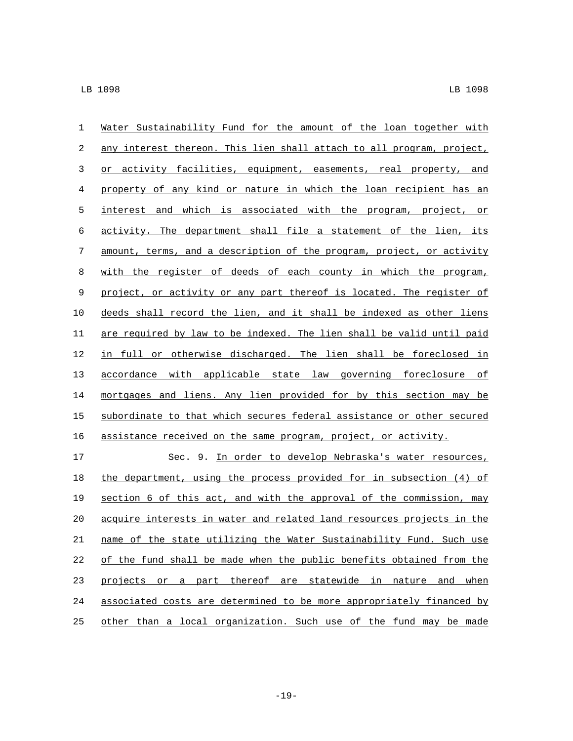| 1  | Water Sustainability Fund for the amount of the loan together with    |
|----|-----------------------------------------------------------------------|
| 2  | any interest thereon. This lien shall attach to all program, project, |
| 3  | activity facilities, equipment, easements, real property, and<br>or   |
| 4  | property of any kind or nature in which the loan recipient has an     |
| 5  | and which is associated with the program, project, or<br>interest     |
| 6  | activity. The department shall file a statement of the lien, its      |
| 7  | amount, terms, and a description of the program, project, or activity |
| 8  | with the register of deeds of each county in which the program,       |
| 9  | project, or activity or any part thereof is located. The register of  |
| 10 | deeds shall record the lien, and it shall be indexed as other liens   |
| 11 | are required by law to be indexed. The lien shall be valid until paid |
| 12 | in full or otherwise discharged. The lien shall be foreclosed in      |
| 13 | accordance with applicable state law governing foreclosure<br>of      |
| 14 | mortgages and liens. Any lien provided for by this section may be     |
| 15 | subordinate to that which secures federal assistance or other secured |
| 16 | assistance received on the same program, project, or activity.        |
| 17 | Sec. 9. In order to develop Nebraska's water resources,               |
| 18 | the department, using the process provided for in subsection (4) of   |
| 19 | section 6 of this act, and with the approval of the commission, may   |

 acquire interests in water and related land resources projects in the name of the state utilizing the Water Sustainability Fund. Such use 22 of the fund shall be made when the public benefits obtained from the 23 projects or a part thereof are statewide in nature and when associated costs are determined to be more appropriately financed by 25 other than a local organization. Such use of the fund may be made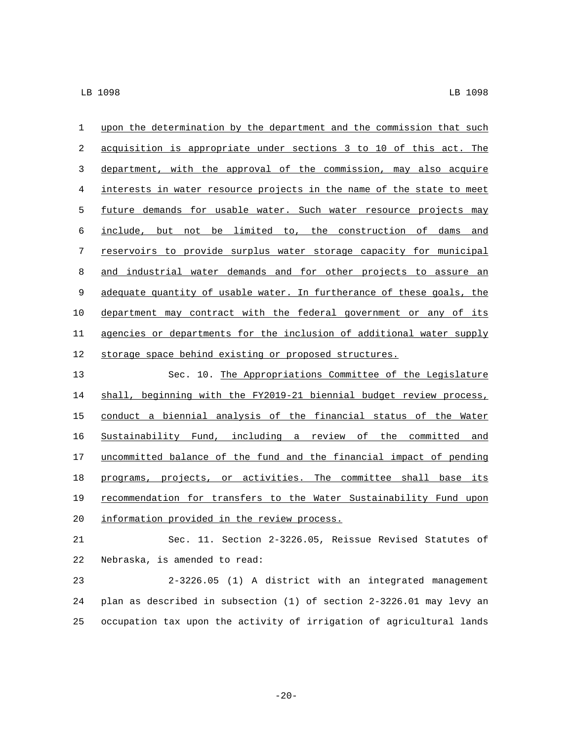upon the determination by the department and the commission that such acquisition is appropriate under sections 3 to 10 of this act. The department, with the approval of the commission, may also acquire interests in water resource projects in the name of the state to meet 5 future demands for usable water. Such water resource projects may include, but not be limited to, the construction of dams and reservoirs to provide surplus water storage capacity for municipal 8 and industrial water demands and for other projects to assure an adequate quantity of usable water. In furtherance of these goals, the department may contract with the federal government or any of its agencies or departments for the inclusion of additional water supply storage space behind existing or proposed structures. Sec. 10. The Appropriations Committee of the Legislature

 shall, beginning with the FY2019-21 biennial budget review process, conduct a biennial analysis of the financial status of the Water Sustainability Fund, including a review of the committed and uncommitted balance of the fund and the financial impact of pending 18 programs, projects, or activities. The committee shall base its recommendation for transfers to the Water Sustainability Fund upon 20 information provided in the review process.

 Sec. 11. Section 2-3226.05, Reissue Revised Statutes of 22 Nebraska, is amended to read:

 2-3226.05 (1) A district with an integrated management plan as described in subsection (1) of section 2-3226.01 may levy an occupation tax upon the activity of irrigation of agricultural lands

 $-20-$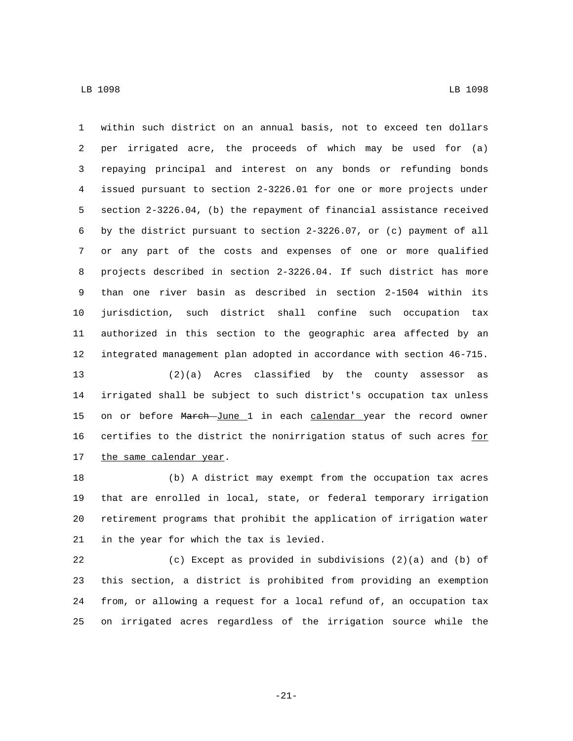within such district on an annual basis, not to exceed ten dollars per irrigated acre, the proceeds of which may be used for (a) repaying principal and interest on any bonds or refunding bonds issued pursuant to section 2-3226.01 for one or more projects under section 2-3226.04, (b) the repayment of financial assistance received by the district pursuant to section 2-3226.07, or (c) payment of all or any part of the costs and expenses of one or more qualified projects described in section 2-3226.04. If such district has more than one river basin as described in section 2-1504 within its jurisdiction, such district shall confine such occupation tax authorized in this section to the geographic area affected by an integrated management plan adopted in accordance with section 46-715.

 (2)(a) Acres classified by the county assessor as irrigated shall be subject to such district's occupation tax unless 15 on or before March June 1 in each calendar year the record owner 16 certifies to the district the nonirrigation status of such acres for 17 the same calendar year.

 (b) A district may exempt from the occupation tax acres that are enrolled in local, state, or federal temporary irrigation retirement programs that prohibit the application of irrigation water 21 in the year for which the tax is levied.

 (c) Except as provided in subdivisions (2)(a) and (b) of this section, a district is prohibited from providing an exemption from, or allowing a request for a local refund of, an occupation tax on irrigated acres regardless of the irrigation source while the

-21-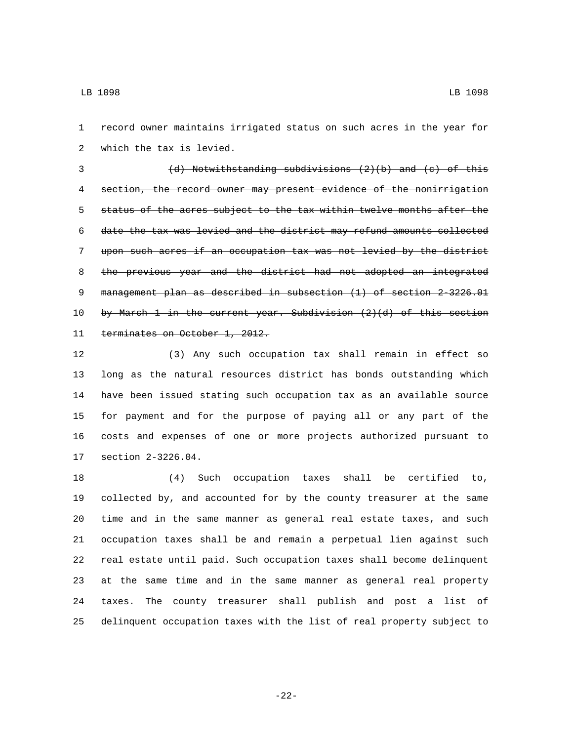record owner maintains irrigated status on such acres in the year for 2 which the tax is levied.

 (d) Notwithstanding subdivisions (2)(b) and (c) of this section, the record owner may present evidence of the nonirrigation status of the acres subject to the tax within twelve months after the date the tax was levied and the district may refund amounts collected upon such acres if an occupation tax was not levied by the district the previous year and the district had not adopted an integrated management plan as described in subsection (1) of section 2-3226.01 10 by March 1 in the current year. Subdivision  $(2)(d)$  of this section 11 terminates on October 1, 2012.

 (3) Any such occupation tax shall remain in effect so long as the natural resources district has bonds outstanding which have been issued stating such occupation tax as an available source for payment and for the purpose of paying all or any part of the costs and expenses of one or more projects authorized pursuant to 17 section 2-3226.04.

 (4) Such occupation taxes shall be certified to, collected by, and accounted for by the county treasurer at the same time and in the same manner as general real estate taxes, and such occupation taxes shall be and remain a perpetual lien against such real estate until paid. Such occupation taxes shall become delinquent at the same time and in the same manner as general real property taxes. The county treasurer shall publish and post a list of delinquent occupation taxes with the list of real property subject to

-22-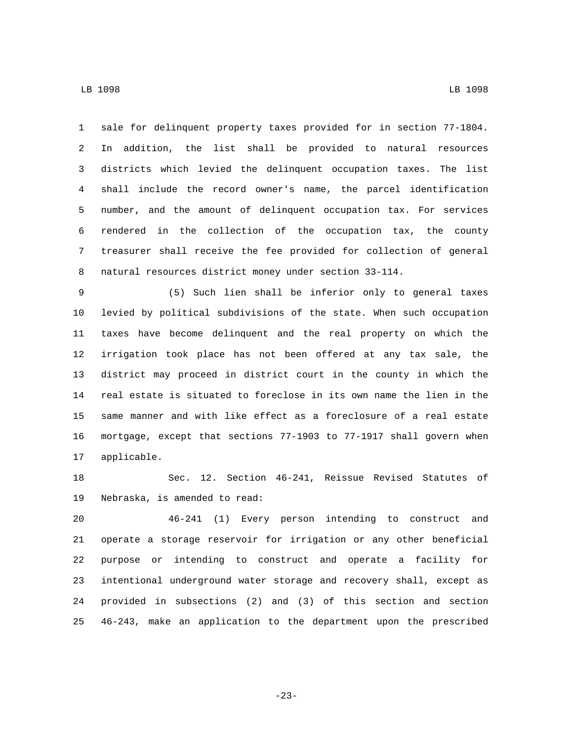sale for delinquent property taxes provided for in section 77-1804. In addition, the list shall be provided to natural resources districts which levied the delinquent occupation taxes. The list shall include the record owner's name, the parcel identification number, and the amount of delinquent occupation tax. For services rendered in the collection of the occupation tax, the county treasurer shall receive the fee provided for collection of general natural resources district money under section 33-114.

 (5) Such lien shall be inferior only to general taxes levied by political subdivisions of the state. When such occupation taxes have become delinquent and the real property on which the irrigation took place has not been offered at any tax sale, the district may proceed in district court in the county in which the real estate is situated to foreclose in its own name the lien in the same manner and with like effect as a foreclosure of a real estate mortgage, except that sections 77-1903 to 77-1917 shall govern when 17 applicable.

 Sec. 12. Section 46-241, Reissue Revised Statutes of 19 Nebraska, is amended to read:

 46-241 (1) Every person intending to construct and operate a storage reservoir for irrigation or any other beneficial purpose or intending to construct and operate a facility for intentional underground water storage and recovery shall, except as provided in subsections (2) and (3) of this section and section 46-243, make an application to the department upon the prescribed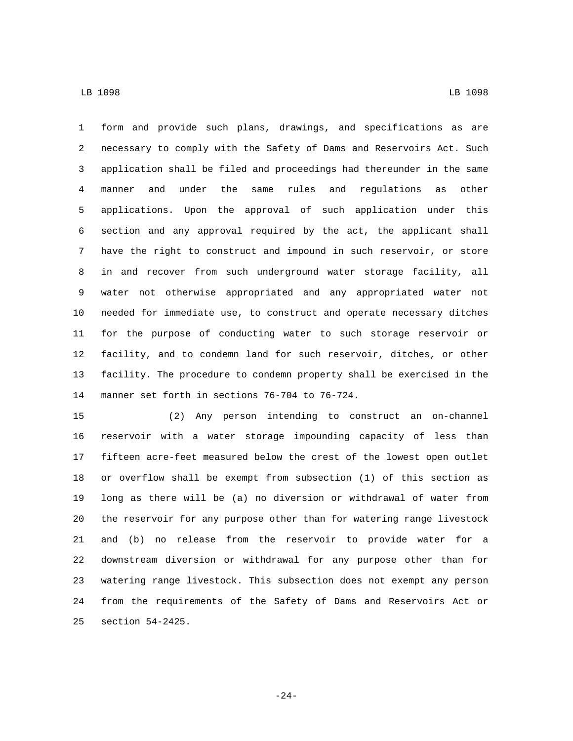form and provide such plans, drawings, and specifications as are necessary to comply with the Safety of Dams and Reservoirs Act. Such application shall be filed and proceedings had thereunder in the same manner and under the same rules and regulations as other applications. Upon the approval of such application under this section and any approval required by the act, the applicant shall have the right to construct and impound in such reservoir, or store in and recover from such underground water storage facility, all water not otherwise appropriated and any appropriated water not needed for immediate use, to construct and operate necessary ditches for the purpose of conducting water to such storage reservoir or facility, and to condemn land for such reservoir, ditches, or other facility. The procedure to condemn property shall be exercised in the 14 manner set forth in sections 76-704 to 76-724.

 (2) Any person intending to construct an on-channel reservoir with a water storage impounding capacity of less than fifteen acre-feet measured below the crest of the lowest open outlet or overflow shall be exempt from subsection (1) of this section as long as there will be (a) no diversion or withdrawal of water from the reservoir for any purpose other than for watering range livestock and (b) no release from the reservoir to provide water for a downstream diversion or withdrawal for any purpose other than for watering range livestock. This subsection does not exempt any person from the requirements of the Safety of Dams and Reservoirs Act or 25 section 54-2425.

-24-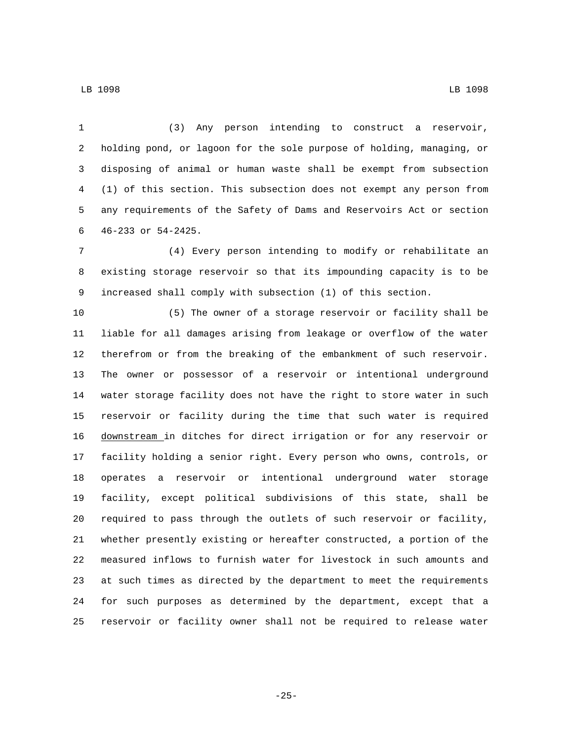(3) Any person intending to construct a reservoir, holding pond, or lagoon for the sole purpose of holding, managing, or disposing of animal or human waste shall be exempt from subsection (1) of this section. This subsection does not exempt any person from any requirements of the Safety of Dams and Reservoirs Act or section 46-233 or 54-2425.6

 (4) Every person intending to modify or rehabilitate an existing storage reservoir so that its impounding capacity is to be increased shall comply with subsection (1) of this section.

 (5) The owner of a storage reservoir or facility shall be liable for all damages arising from leakage or overflow of the water therefrom or from the breaking of the embankment of such reservoir. The owner or possessor of a reservoir or intentional underground water storage facility does not have the right to store water in such reservoir or facility during the time that such water is required downstream in ditches for direct irrigation or for any reservoir or facility holding a senior right. Every person who owns, controls, or operates a reservoir or intentional underground water storage facility, except political subdivisions of this state, shall be required to pass through the outlets of such reservoir or facility, whether presently existing or hereafter constructed, a portion of the measured inflows to furnish water for livestock in such amounts and at such times as directed by the department to meet the requirements for such purposes as determined by the department, except that a reservoir or facility owner shall not be required to release water

LB 1098 LB 1098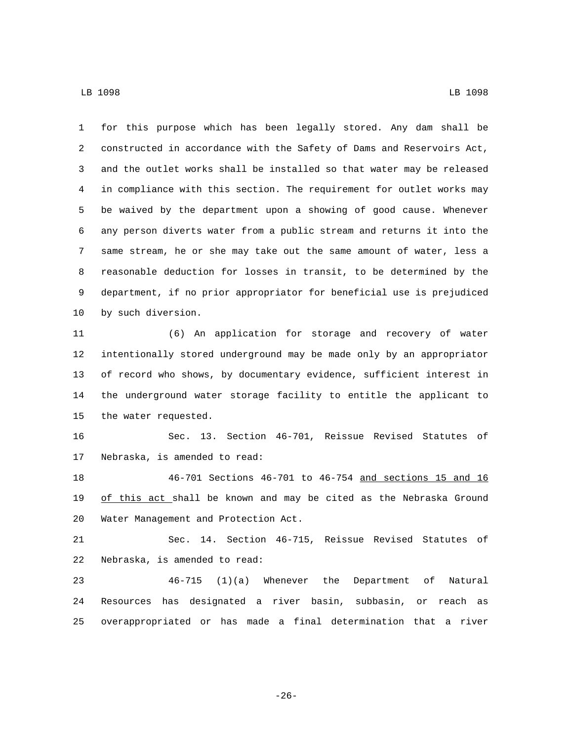LB 1098 LB 1098

 for this purpose which has been legally stored. Any dam shall be constructed in accordance with the Safety of Dams and Reservoirs Act, and the outlet works shall be installed so that water may be released in compliance with this section. The requirement for outlet works may be waived by the department upon a showing of good cause. Whenever any person diverts water from a public stream and returns it into the same stream, he or she may take out the same amount of water, less a reasonable deduction for losses in transit, to be determined by the department, if no prior appropriator for beneficial use is prejudiced 10 by such diversion.

 (6) An application for storage and recovery of water intentionally stored underground may be made only by an appropriator of record who shows, by documentary evidence, sufficient interest in the underground water storage facility to entitle the applicant to 15 the water requested.

 Sec. 13. Section 46-701, Reissue Revised Statutes of 17 Nebraska, is amended to read:

 46-701 Sections 46-701 to 46-754 and sections 15 and 16 19 of this act shall be known and may be cited as the Nebraska Ground 20 Water Management and Protection Act.

 Sec. 14. Section 46-715, Reissue Revised Statutes of 22 Nebraska, is amended to read:

 46-715 (1)(a) Whenever the Department of Natural Resources has designated a river basin, subbasin, or reach as overappropriated or has made a final determination that a river

-26-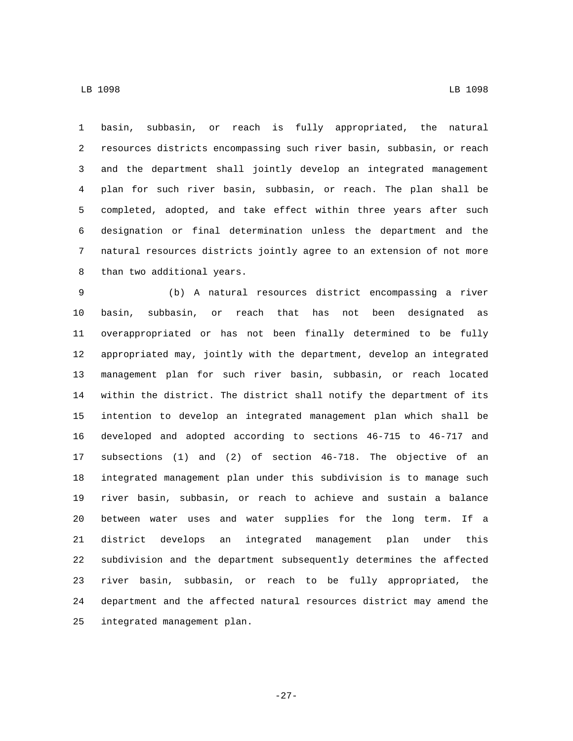basin, subbasin, or reach is fully appropriated, the natural resources districts encompassing such river basin, subbasin, or reach

 and the department shall jointly develop an integrated management plan for such river basin, subbasin, or reach. The plan shall be completed, adopted, and take effect within three years after such designation or final determination unless the department and the natural resources districts jointly agree to an extension of not more 8 than two additional years.

 (b) A natural resources district encompassing a river basin, subbasin, or reach that has not been designated as overappropriated or has not been finally determined to be fully appropriated may, jointly with the department, develop an integrated management plan for such river basin, subbasin, or reach located within the district. The district shall notify the department of its intention to develop an integrated management plan which shall be developed and adopted according to sections 46-715 to 46-717 and subsections (1) and (2) of section 46-718. The objective of an integrated management plan under this subdivision is to manage such river basin, subbasin, or reach to achieve and sustain a balance between water uses and water supplies for the long term. If a district develops an integrated management plan under this subdivision and the department subsequently determines the affected river basin, subbasin, or reach to be fully appropriated, the department and the affected natural resources district may amend the 25 integrated management plan.

-27-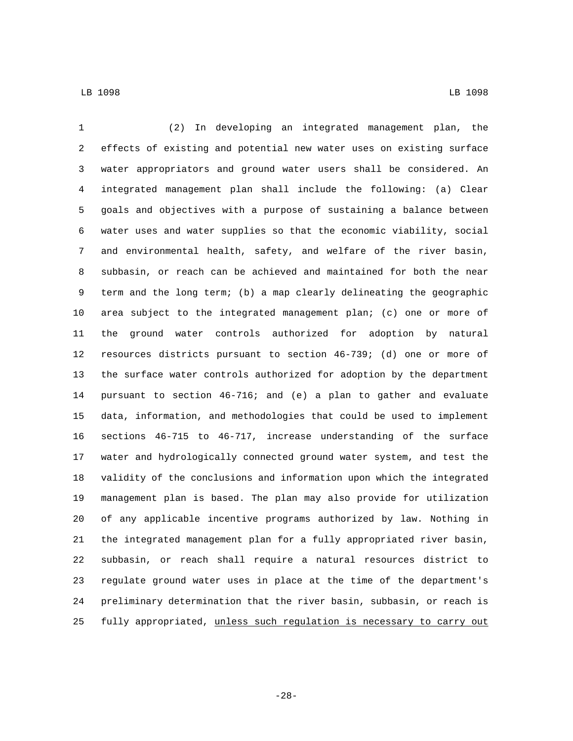(2) In developing an integrated management plan, the effects of existing and potential new water uses on existing surface water appropriators and ground water users shall be considered. An integrated management plan shall include the following: (a) Clear goals and objectives with a purpose of sustaining a balance between water uses and water supplies so that the economic viability, social and environmental health, safety, and welfare of the river basin, subbasin, or reach can be achieved and maintained for both the near term and the long term; (b) a map clearly delineating the geographic area subject to the integrated management plan; (c) one or more of the ground water controls authorized for adoption by natural resources districts pursuant to section 46-739; (d) one or more of the surface water controls authorized for adoption by the department pursuant to section 46-716; and (e) a plan to gather and evaluate data, information, and methodologies that could be used to implement sections 46-715 to 46-717, increase understanding of the surface water and hydrologically connected ground water system, and test the validity of the conclusions and information upon which the integrated management plan is based. The plan may also provide for utilization of any applicable incentive programs authorized by law. Nothing in the integrated management plan for a fully appropriated river basin, subbasin, or reach shall require a natural resources district to regulate ground water uses in place at the time of the department's preliminary determination that the river basin, subbasin, or reach is fully appropriated, unless such regulation is necessary to carry out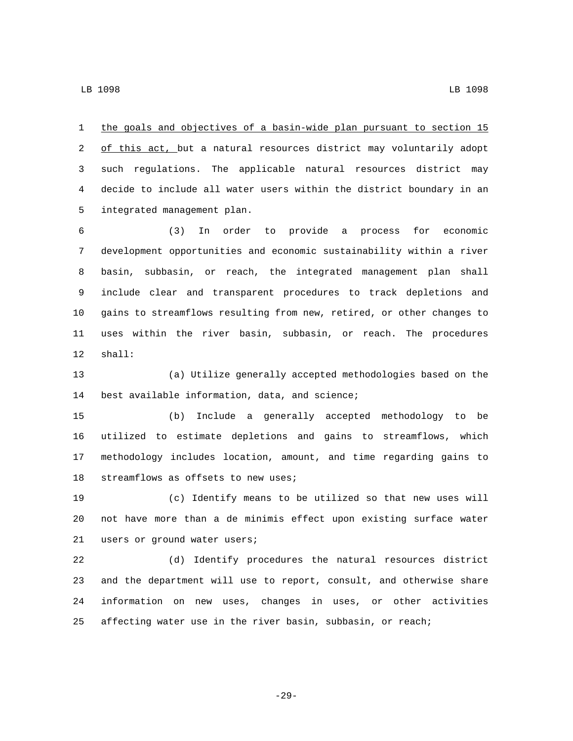the goals and objectives of a basin-wide plan pursuant to section 15 2 of this act, but a natural resources district may voluntarily adopt such regulations. The applicable natural resources district may decide to include all water users within the district boundary in an 5 integrated management plan.

 (3) In order to provide a process for economic development opportunities and economic sustainability within a river basin, subbasin, or reach, the integrated management plan shall include clear and transparent procedures to track depletions and gains to streamflows resulting from new, retired, or other changes to uses within the river basin, subbasin, or reach. The procedures 12 shall:

 (a) Utilize generally accepted methodologies based on the 14 best available information, data, and science;

 (b) Include a generally accepted methodology to be utilized to estimate depletions and gains to streamflows, which methodology includes location, amount, and time regarding gains to 18 streamflows as offsets to new uses;

 (c) Identify means to be utilized so that new uses will not have more than a de minimis effect upon existing surface water 21 users or ground water users;

 (d) Identify procedures the natural resources district and the department will use to report, consult, and otherwise share information on new uses, changes in uses, or other activities affecting water use in the river basin, subbasin, or reach;

LB 1098 LB 1098

-29-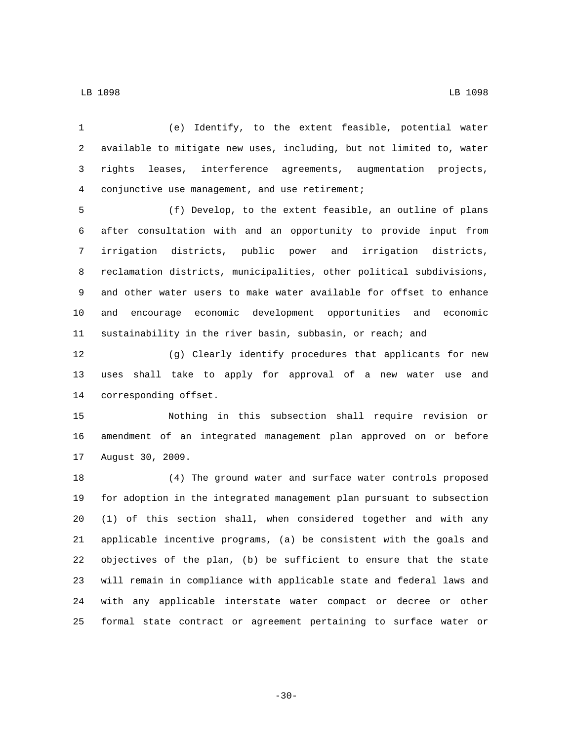(e) Identify, to the extent feasible, potential water available to mitigate new uses, including, but not limited to, water rights leases, interference agreements, augmentation projects, 4 conjunctive use management, and use retirement;

 (f) Develop, to the extent feasible, an outline of plans after consultation with and an opportunity to provide input from irrigation districts, public power and irrigation districts, reclamation districts, municipalities, other political subdivisions, and other water users to make water available for offset to enhance and encourage economic development opportunities and economic sustainability in the river basin, subbasin, or reach; and

 (g) Clearly identify procedures that applicants for new uses shall take to apply for approval of a new water use and 14 corresponding offset.

 Nothing in this subsection shall require revision or amendment of an integrated management plan approved on or before 17 August 30, 2009.

 (4) The ground water and surface water controls proposed for adoption in the integrated management plan pursuant to subsection (1) of this section shall, when considered together and with any applicable incentive programs, (a) be consistent with the goals and objectives of the plan, (b) be sufficient to ensure that the state will remain in compliance with applicable state and federal laws and with any applicable interstate water compact or decree or other formal state contract or agreement pertaining to surface water or

LB 1098 LB 1098

-30-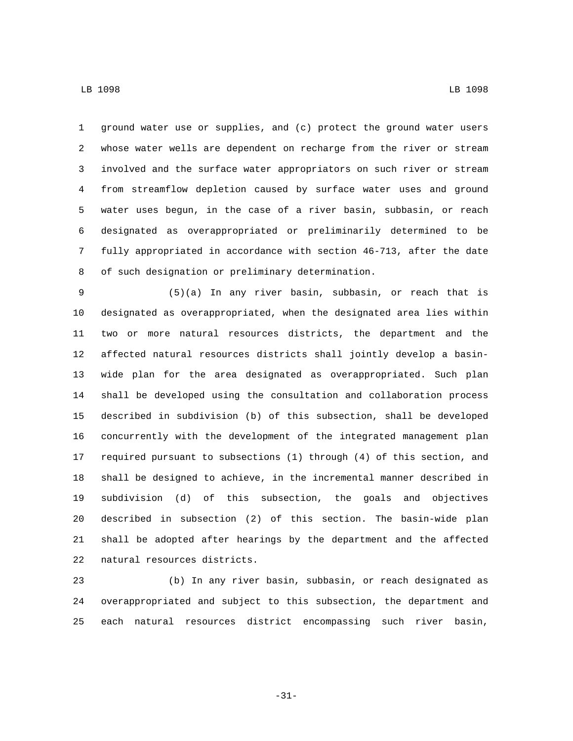ground water use or supplies, and (c) protect the ground water users whose water wells are dependent on recharge from the river or stream involved and the surface water appropriators on such river or stream from streamflow depletion caused by surface water uses and ground water uses begun, in the case of a river basin, subbasin, or reach designated as overappropriated or preliminarily determined to be fully appropriated in accordance with section 46-713, after the date of such designation or preliminary determination.8

 (5)(a) In any river basin, subbasin, or reach that is designated as overappropriated, when the designated area lies within two or more natural resources districts, the department and the affected natural resources districts shall jointly develop a basin- wide plan for the area designated as overappropriated. Such plan shall be developed using the consultation and collaboration process described in subdivision (b) of this subsection, shall be developed concurrently with the development of the integrated management plan required pursuant to subsections (1) through (4) of this section, and shall be designed to achieve, in the incremental manner described in subdivision (d) of this subsection, the goals and objectives described in subsection (2) of this section. The basin-wide plan shall be adopted after hearings by the department and the affected 22 natural resources districts.

 (b) In any river basin, subbasin, or reach designated as overappropriated and subject to this subsection, the department and each natural resources district encompassing such river basin,

-31-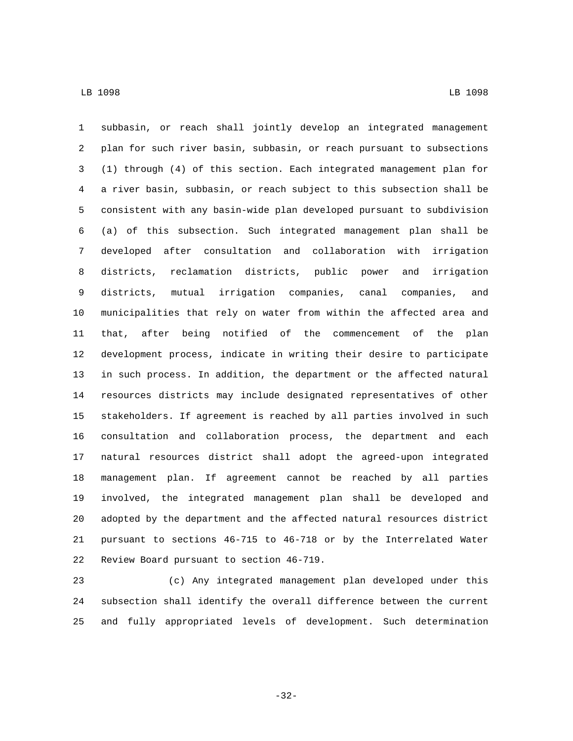subbasin, or reach shall jointly develop an integrated management plan for such river basin, subbasin, or reach pursuant to subsections (1) through (4) of this section. Each integrated management plan for a river basin, subbasin, or reach subject to this subsection shall be consistent with any basin-wide plan developed pursuant to subdivision (a) of this subsection. Such integrated management plan shall be developed after consultation and collaboration with irrigation districts, reclamation districts, public power and irrigation districts, mutual irrigation companies, canal companies, and municipalities that rely on water from within the affected area and that, after being notified of the commencement of the plan development process, indicate in writing their desire to participate in such process. In addition, the department or the affected natural resources districts may include designated representatives of other stakeholders. If agreement is reached by all parties involved in such consultation and collaboration process, the department and each natural resources district shall adopt the agreed-upon integrated management plan. If agreement cannot be reached by all parties involved, the integrated management plan shall be developed and adopted by the department and the affected natural resources district pursuant to sections 46-715 to 46-718 or by the Interrelated Water 22 Review Board pursuant to section 46-719.

 (c) Any integrated management plan developed under this subsection shall identify the overall difference between the current and fully appropriated levels of development. Such determination

-32-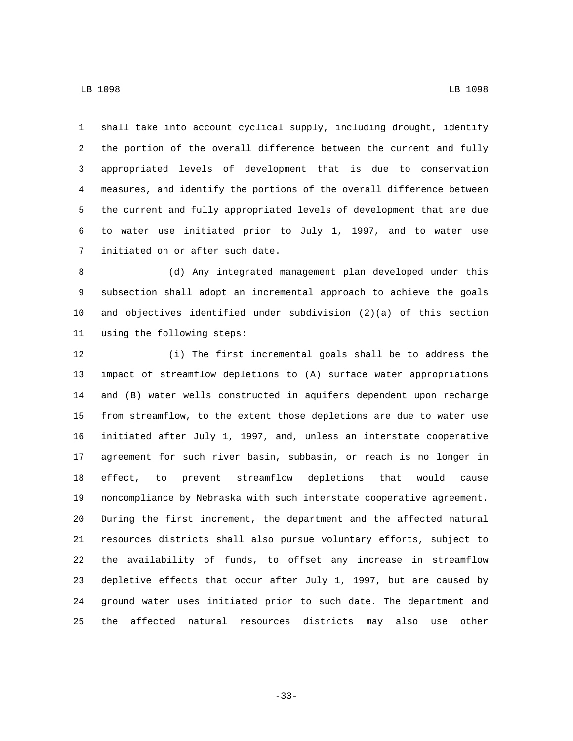shall take into account cyclical supply, including drought, identify the portion of the overall difference between the current and fully appropriated levels of development that is due to conservation measures, and identify the portions of the overall difference between the current and fully appropriated levels of development that are due to water use initiated prior to July 1, 1997, and to water use 7 initiated on or after such date.

 (d) Any integrated management plan developed under this subsection shall adopt an incremental approach to achieve the goals and objectives identified under subdivision (2)(a) of this section 11 using the following steps:

 (i) The first incremental goals shall be to address the impact of streamflow depletions to (A) surface water appropriations and (B) water wells constructed in aquifers dependent upon recharge from streamflow, to the extent those depletions are due to water use initiated after July 1, 1997, and, unless an interstate cooperative agreement for such river basin, subbasin, or reach is no longer in effect, to prevent streamflow depletions that would cause noncompliance by Nebraska with such interstate cooperative agreement. During the first increment, the department and the affected natural resources districts shall also pursue voluntary efforts, subject to the availability of funds, to offset any increase in streamflow depletive effects that occur after July 1, 1997, but are caused by ground water uses initiated prior to such date. The department and the affected natural resources districts may also use other

LB 1098 LB 1098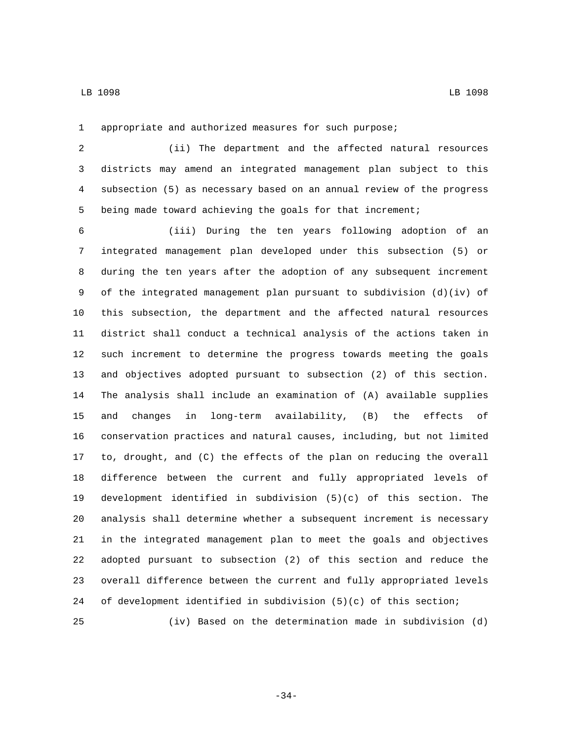appropriate and authorized measures for such purpose;

 (ii) The department and the affected natural resources districts may amend an integrated management plan subject to this subsection (5) as necessary based on an annual review of the progress being made toward achieving the goals for that increment;

 (iii) During the ten years following adoption of an integrated management plan developed under this subsection (5) or during the ten years after the adoption of any subsequent increment of the integrated management plan pursuant to subdivision (d)(iv) of this subsection, the department and the affected natural resources district shall conduct a technical analysis of the actions taken in such increment to determine the progress towards meeting the goals and objectives adopted pursuant to subsection (2) of this section. The analysis shall include an examination of (A) available supplies and changes in long-term availability, (B) the effects of conservation practices and natural causes, including, but not limited to, drought, and (C) the effects of the plan on reducing the overall difference between the current and fully appropriated levels of development identified in subdivision (5)(c) of this section. The analysis shall determine whether a subsequent increment is necessary in the integrated management plan to meet the goals and objectives adopted pursuant to subsection (2) of this section and reduce the overall difference between the current and fully appropriated levels of development identified in subdivision (5)(c) of this section; (iv) Based on the determination made in subdivision (d)

-34-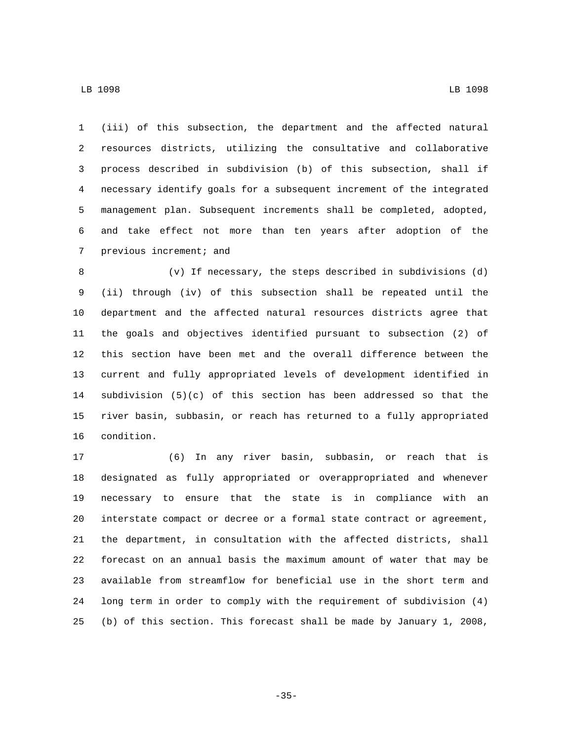(iii) of this subsection, the department and the affected natural resources districts, utilizing the consultative and collaborative process described in subdivision (b) of this subsection, shall if necessary identify goals for a subsequent increment of the integrated management plan. Subsequent increments shall be completed, adopted, and take effect not more than ten years after adoption of the 7 previous increment; and

 (v) If necessary, the steps described in subdivisions (d) (ii) through (iv) of this subsection shall be repeated until the department and the affected natural resources districts agree that the goals and objectives identified pursuant to subsection (2) of this section have been met and the overall difference between the current and fully appropriated levels of development identified in subdivision (5)(c) of this section has been addressed so that the river basin, subbasin, or reach has returned to a fully appropriated 16 condition.

 (6) In any river basin, subbasin, or reach that is designated as fully appropriated or overappropriated and whenever necessary to ensure that the state is in compliance with an interstate compact or decree or a formal state contract or agreement, the department, in consultation with the affected districts, shall forecast on an annual basis the maximum amount of water that may be available from streamflow for beneficial use in the short term and long term in order to comply with the requirement of subdivision (4) (b) of this section. This forecast shall be made by January 1, 2008,

-35-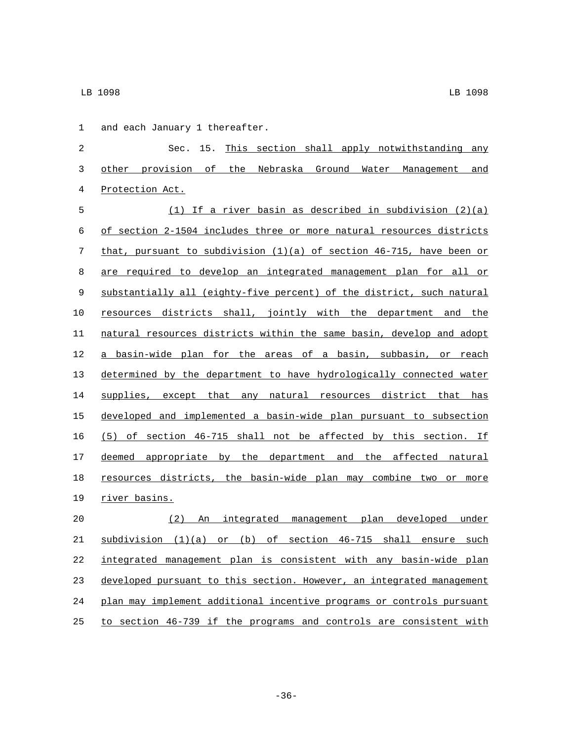1 and each January 1 thereafter.

 Sec. 15. This section shall apply notwithstanding any other provision of the Nebraska Ground Water Management and 4 Protection Act.

 (1) If a river basin as described in subdivision (2)(a) of section 2-1504 includes three or more natural resources districts that, pursuant to subdivision (1)(a) of section 46-715, have been or are required to develop an integrated management plan for all or substantially all (eighty-five percent) of the district, such natural resources districts shall, jointly with the department and the natural resources districts within the same basin, develop and adopt a basin-wide plan for the areas of a basin, subbasin, or reach determined by the department to have hydrologically connected water 14 supplies, except that any natural resources district that has developed and implemented a basin-wide plan pursuant to subsection (5) of section 46-715 shall not be affected by this section. If 17 deemed appropriate by the department and the affected natural 18 resources districts, the basin-wide plan may combine two or more 19 river basins.

 (2) An integrated management plan developed under subdivision (1)(a) or (b) of section 46-715 shall ensure such integrated management plan is consistent with any basin-wide plan developed pursuant to this section. However, an integrated management plan may implement additional incentive programs or controls pursuant to section 46-739 if the programs and controls are consistent with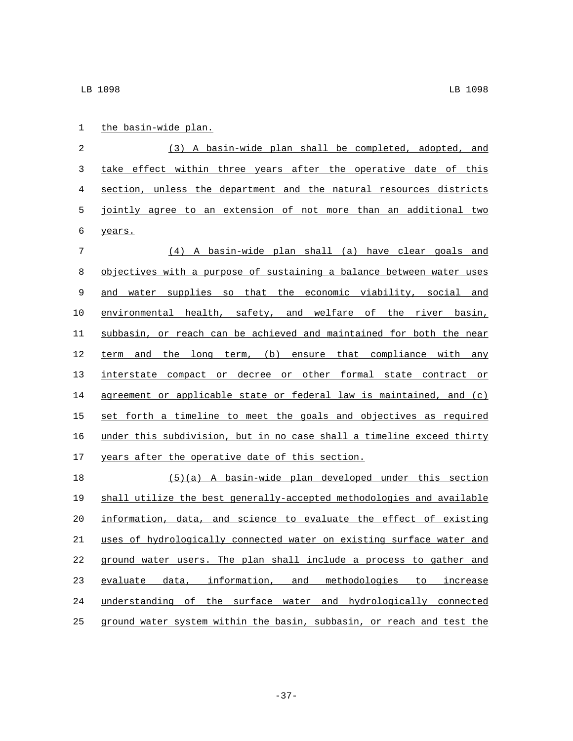|  | the basin-wide plan. |  |
|--|----------------------|--|
|  |                      |  |

 (3) A basin-wide plan shall be completed, adopted, and take effect within three years after the operative date of this section, unless the department and the natural resources districts jointly agree to an extension of not more than an additional two 6 years.

 (4) A basin-wide plan shall (a) have clear goals and objectives with a purpose of sustaining a balance between water uses and water supplies so that the economic viability, social and environmental health, safety, and welfare of the river basin, subbasin, or reach can be achieved and maintained for both the near 12 term and the long term, (b) ensure that compliance with any interstate compact or decree or other formal state contract or agreement or applicable state or federal law is maintained, and (c) 15 set forth a timeline to meet the goals and objectives as required under this subdivision, but in no case shall a timeline exceed thirty 17 years after the operative date of this section.

 (5)(a) A basin-wide plan developed under this section shall utilize the best generally-accepted methodologies and available information, data, and science to evaluate the effect of existing uses of hydrologically connected water on existing surface water and ground water users. The plan shall include a process to gather and evaluate data, information, and methodologies to increase understanding of the surface water and hydrologically connected ground water system within the basin, subbasin, or reach and test the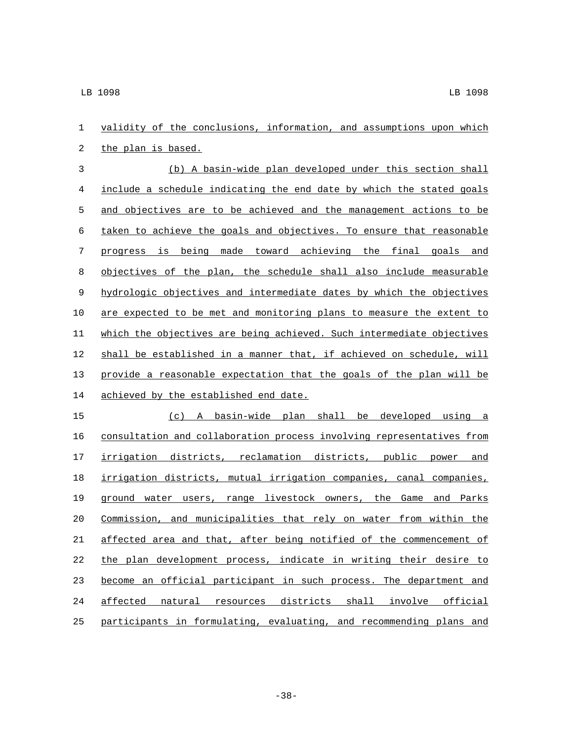| 1                | validity of the conclusions, information, and assumptions upon which  |
|------------------|-----------------------------------------------------------------------|
| $\mathbf{2}$     | the plan is based.                                                    |
| $\mathbf{3}$     | (b) A basin-wide plan developed under this section shall              |
| 4                | include a schedule indicating the end date by which the stated goals  |
| 5                | and objectives are to be achieved and the management actions to be    |
| $\epsilon$       | taken to achieve the goals and objectives. To ensure that reasonable  |
| $\boldsymbol{7}$ | progress is being made toward achieving the final goals and           |
| $\,8\,$          | objectives of the plan, the schedule shall also include measurable    |
| $\mathsf 9$      | hydrologic objectives and intermediate dates by which the objectives  |
| 10               | are expected to be met and monitoring plans to measure the extent to  |
| 11               | which the objectives are being achieved. Such intermediate objectives |
| 12               | shall be established in a manner that, if achieved on schedule, will  |
| 13               | provide a reasonable expectation that the goals of the plan will be   |
| 14               | achieved by the established end date.                                 |
| 15               | (c) A basin-wide plan shall be developed using a                      |
| 16               | consultation and collaboration process involving representatives from |
| 17               | irrigation districts, reclamation districts, public power and         |
| 18               | irrigation districts, mutual irrigation companies, canal companies,   |
| 19               | ground water users, range livestock owners, the Game and Parks        |
| 20               | Commission, and municipalities that rely on water from within the     |
| 21               | affected area and that, after being notified of the commencement of   |
| 22               | the plan development process, indicate in writing their desire to     |
| 23               | become an official participant in such process. The department and    |
| 24               | affected natural resources districts shall involve official           |
|                  |                                                                       |

participants in formulating, evaluating, and recommending plans and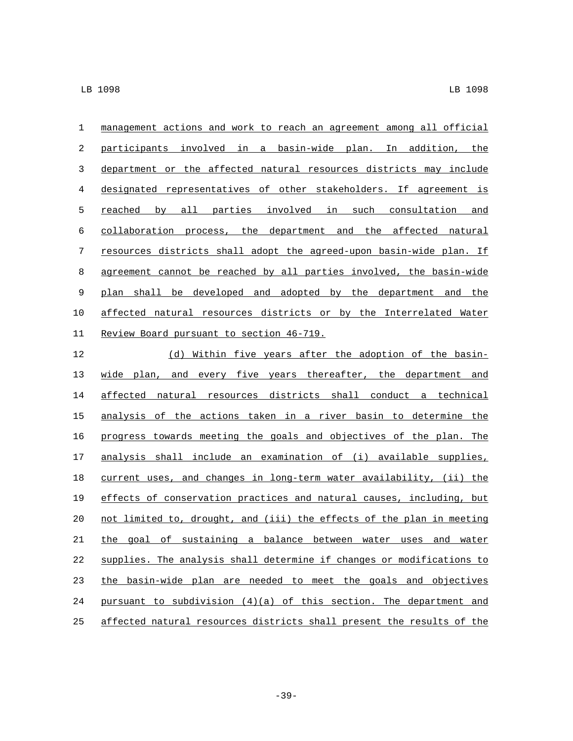management actions and work to reach an agreement among all official participants involved in a basin-wide plan. In addition, the department or the affected natural resources districts may include designated representatives of other stakeholders. If agreement is reached by all parties involved in such consultation and collaboration process, the department and the affected natural resources districts shall adopt the agreed-upon basin-wide plan. If agreement cannot be reached by all parties involved, the basin-wide plan shall be developed and adopted by the department and the affected natural resources districts or by the Interrelated Water 11 Review Board pursuant to section 46-719.

12 (d) Within five years after the adoption of the basin-13 wide plan, and every five years thereafter, the department and affected natural resources districts shall conduct a technical analysis of the actions taken in a river basin to determine the progress towards meeting the goals and objectives of the plan. The analysis shall include an examination of (i) available supplies, current uses, and changes in long-term water availability, (ii) the effects of conservation practices and natural causes, including, but not limited to, drought, and (iii) the effects of the plan in meeting the goal of sustaining a balance between water uses and water supplies. The analysis shall determine if changes or modifications to the basin-wide plan are needed to meet the goals and objectives pursuant to subdivision (4)(a) of this section. The department and affected natural resources districts shall present the results of the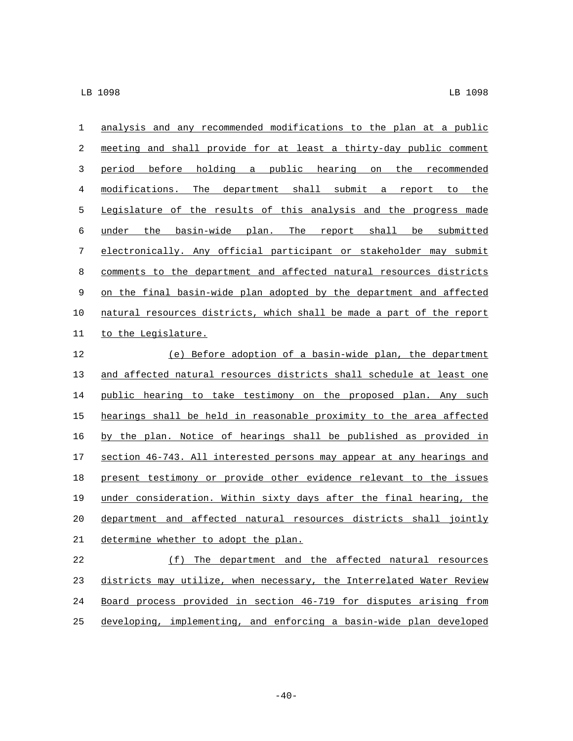| $\mathbf 1$ | analysis and any recommended modifications to the plan at a public    |
|-------------|-----------------------------------------------------------------------|
| 2           | meeting and shall provide for at least a thirty-day public comment    |
| 3           | period before holding a public hearing on the recommended             |
| 4           | modifications. The department shall submit a report to the            |
| 5           | Legislature of the results of this analysis and the progress made     |
| 6           | under the basin-wide plan. The report shall be<br>submitted           |
| 7           | electronically. Any official participant or stakeholder may submit    |
| 8           | comments to the department and affected natural resources districts   |
| 9           | on the final basin-wide plan adopted by the department and affected   |
| 10          | natural resources districts, which shall be made a part of the report |
| 11          | to the Legislature.                                                   |
| 12          | (e) Before adoption of a basin-wide plan, the department              |
| 13          | and affected natural resources districts shall schedule at least one  |
| 14          | public hearing to take testimony on the proposed plan. Any such       |
| 15          | hearings shall be held in reasonable proximity to the area affected   |
| 16          | by the plan. Notice of hearings shall be published as provided in     |
| 17          | section 46-743. All interested persons may appear at any hearings and |
| 18          | present testimony or provide other evidence relevant to the issues    |
| 19          | under consideration. Within sixty days after the final hearing, the   |
| 20          | department and affected natural resources districts shall jointly     |
| 21          | determine whether to adopt the plan.                                  |
| 22          | (f) The department and the affected natural resources                 |
| 23          | districts may utilize, when necessary, the Interrelated Water Review  |
| 24          | Board process provided in section 46-719 for disputes arising from    |
| 25          | developing, implementing, and enforcing a basin-wide plan developed   |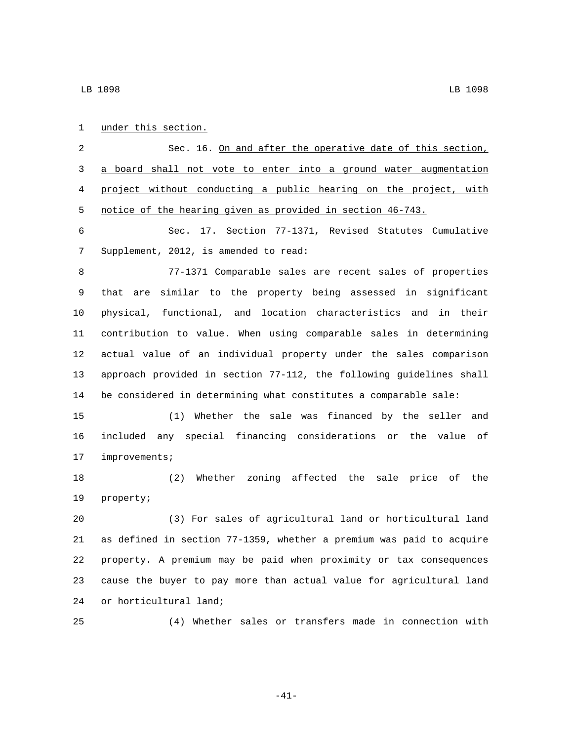1 under this section. 2 Sec. 16. On and after the operative date of this section, a board shall not vote to enter into a ground water augmentation project without conducting a public hearing on the project, with notice of the hearing given as provided in section 46-743. Sec. 17. Section 77-1371, Revised Statutes Cumulative 7 Supplement, 2012, is amended to read: 77-1371 Comparable sales are recent sales of properties that are similar to the property being assessed in significant physical, functional, and location characteristics and in their contribution to value. When using comparable sales in determining actual value of an individual property under the sales comparison approach provided in section 77-112, the following guidelines shall be considered in determining what constitutes a comparable sale: (1) Whether the sale was financed by the seller and included any special financing considerations or the value of 17 improvements; (2) Whether zoning affected the sale price of the 19 property; (3) For sales of agricultural land or horticultural land as defined in section 77-1359, whether a premium was paid to acquire property. A premium may be paid when proximity or tax consequences cause the buyer to pay more than actual value for agricultural land 24 or horticultural land;

(4) Whether sales or transfers made in connection with

-41-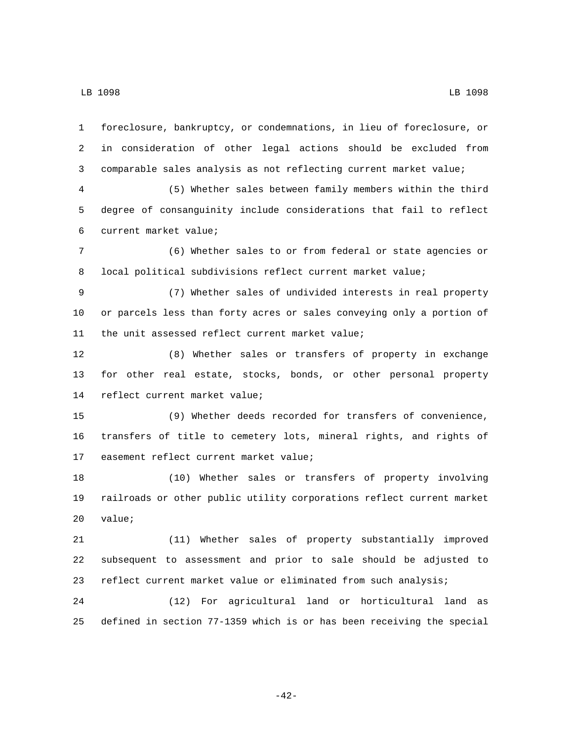foreclosure, bankruptcy, or condemnations, in lieu of foreclosure, or in consideration of other legal actions should be excluded from comparable sales analysis as not reflecting current market value; (5) Whether sales between family members within the third degree of consanguinity include considerations that fail to reflect current market value;6 (6) Whether sales to or from federal or state agencies or local political subdivisions reflect current market value; (7) Whether sales of undivided interests in real property or parcels less than forty acres or sales conveying only a portion of 11 the unit assessed reflect current market value; (8) Whether sales or transfers of property in exchange for other real estate, stocks, bonds, or other personal property 14 reflect current market value; (9) Whether deeds recorded for transfers of convenience, transfers of title to cemetery lots, mineral rights, and rights of 17 easement reflect current market value; (10) Whether sales or transfers of property involving railroads or other public utility corporations reflect current market 20 value; (11) Whether sales of property substantially improved subsequent to assessment and prior to sale should be adjusted to reflect current market value or eliminated from such analysis; (12) For agricultural land or horticultural land as defined in section 77-1359 which is or has been receiving the special

-42-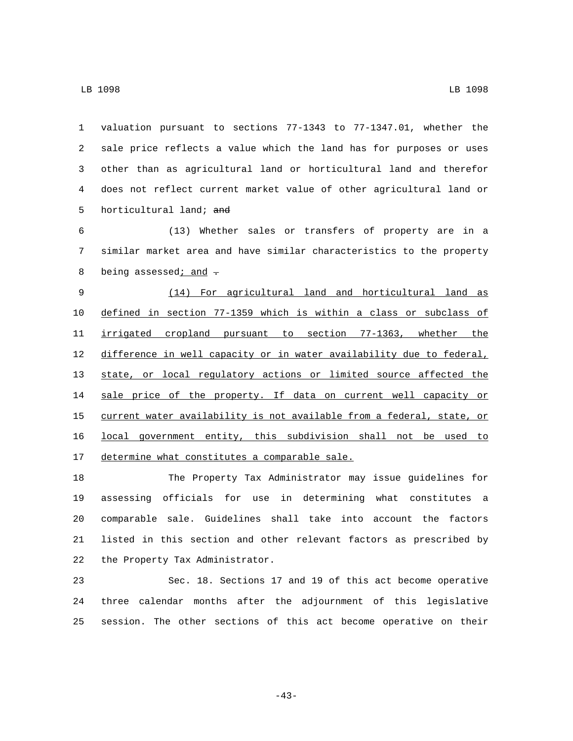valuation pursuant to sections 77-1343 to 77-1347.01, whether the sale price reflects a value which the land has for purposes or uses other than as agricultural land or horticultural land and therefor does not reflect current market value of other agricultural land or 5 horticultural land; and (13) Whether sales or transfers of property are in a similar market area and have similar characteristics to the property 8 being assessed $\frac{i}{n}$  and  $\frac{1}{n}$  (14) For agricultural land and horticultural land as defined in section 77-1359 which is within a class or subclass of irrigated cropland pursuant to section 77-1363, whether the difference in well capacity or in water availability due to federal, state, or local regulatory actions or limited source affected the 14 sale price of the property. If data on current well capacity or current water availability is not available from a federal, state, or local government entity, this subdivision shall not be used to 17 determine what constitutes a comparable sale.

 The Property Tax Administrator may issue guidelines for assessing officials for use in determining what constitutes a comparable sale. Guidelines shall take into account the factors listed in this section and other relevant factors as prescribed by 22 the Property Tax Administrator.

 Sec. 18. Sections 17 and 19 of this act become operative three calendar months after the adjournment of this legislative session. The other sections of this act become operative on their

-43-